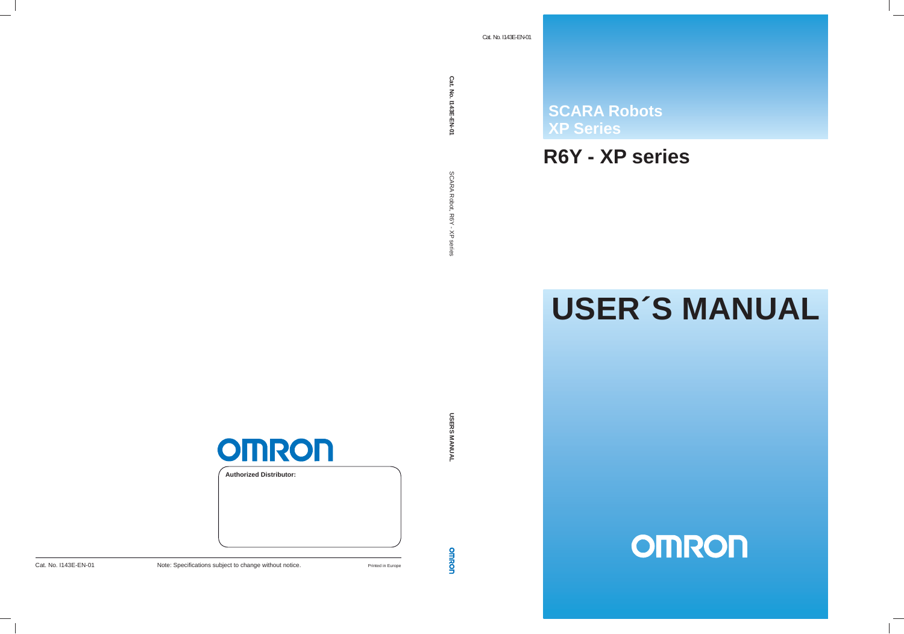**XP Series SCARA Robots**<br> **XP Series<br>
R6Y - XP Ser<br>
USER ?** 

# **R6Y - XP series**

# **USER´S MANUAL**

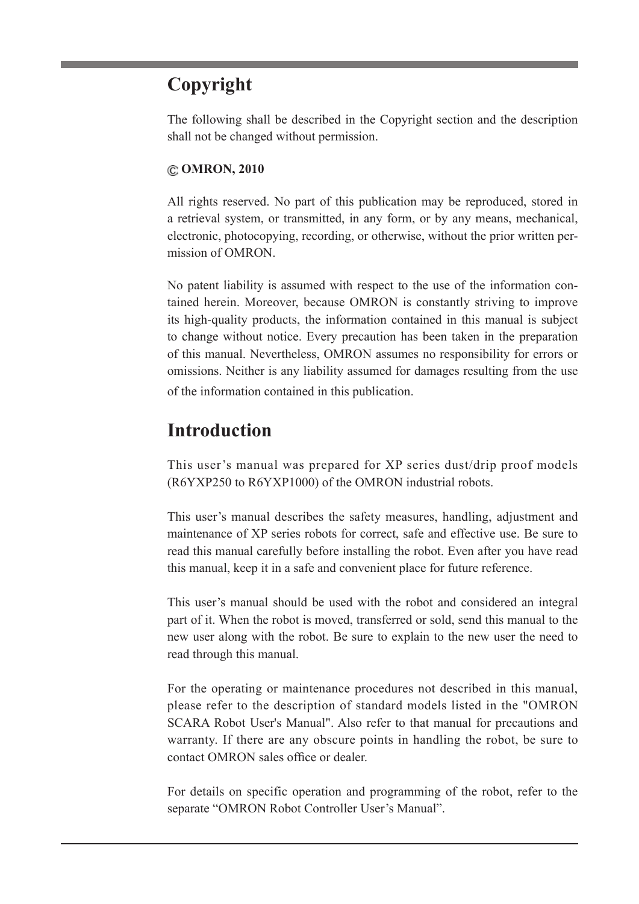# **Copyright**

The following shall be described in the Copyright section and the description shall not be changed without permission.

#### **OMRON, 2010**

All rights reserved. No part of this publication may be reproduced, stored in a retrieval system, or transmitted, in any form, or by any means, mechanical, electronic, photocopying, recording, or otherwise, without the prior written permission of OMRON.

No patent liability is assumed with respect to the use of the information contained herein. Moreover, because OMRON is constantly striving to improve its high-quality products, the information contained in this manual is subject to change without notice. Every precaution has been taken in the preparation of this manual. Nevertheless, OMRON assumes no responsibility for errors or omissions. Neither is any liability assumed for damages resulting from the use of the information contained in this publication.

# **Introduction**

This user's manual was prepared for XP series dust/drip proof models (R6YXP250 to R6YXP1000) of the OMRON industrial robots.

This user's manual describes the safety measures, handling, adjustment and maintenance of XP series robots for correct, safe and effective use. Be sure to read this manual carefully before installing the robot. Even after you have read this manual, keep it in a safe and convenient place for future reference.

This user's manual should be used with the robot and considered an integral part of it. When the robot is moved, transferred or sold, send this manual to the new user along with the robot. Be sure to explain to the new user the need to read through this manual.

For the operating or maintenance procedures not described in this manual, please refer to the description of standard models listed in the "OMRON SCARA Robot User's Manual". Also refer to that manual for precautions and warranty. If there are any obscure points in handling the robot, be sure to contact OMRON sales office or dealer.

For details on specific operation and programming of the robot, refer to the separate "OMRON Robot Controller User's Manual".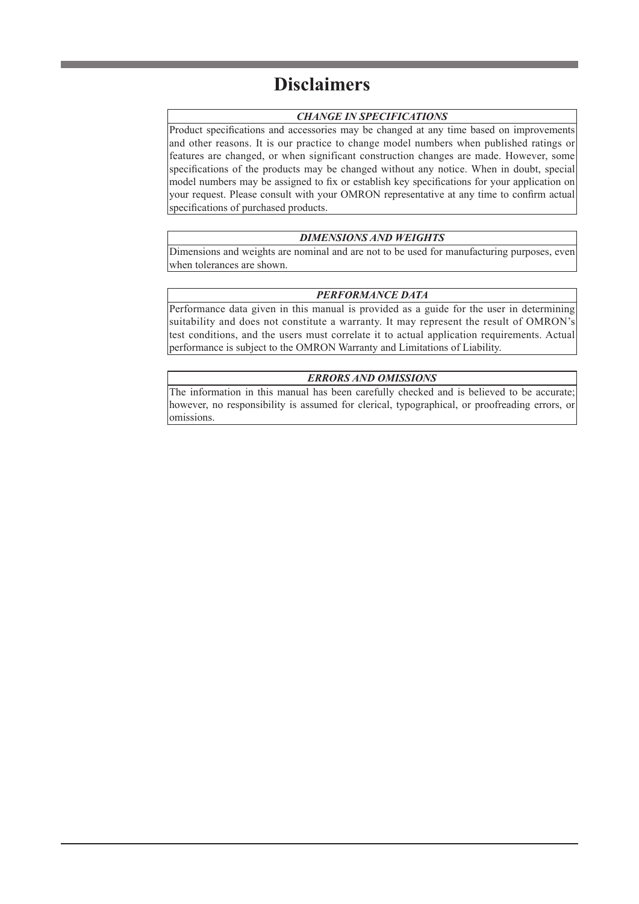# **Disclaimers**

#### *CHANGE IN SPECIFICATIONS*

Product specifications and accessories may be changed at any time based on improvements and other reasons. It is our practice to change model numbers when published ratings or features are changed, or when significant construction changes are made. However, some specifications of the products may be changed without any notice. When in doubt, special model numbers may be assigned to fix or establish key specifications for your application on your request. Please consult with your OMRON representative at any time to confirm actual specifications of purchased products.

#### *DIMENSIONS AND WEIGHTS*

Dimensions and weights are nominal and are not to be used for manufacturing purposes, even when tolerances are shown.

#### *PERFORMANCE DATA*

Performance data given in this manual is provided as a guide for the user in determining suitability and does not constitute a warranty. It may represent the result of OMRON's test conditions, and the users must correlate it to actual application requirements. Actual performance is subject to the OMRON Warranty and Limitations of Liability.

#### *ERRORS AND OMISSIONS*

The information in this manual has been carefully checked and is believed to be accurate; however, no responsibility is assumed for clerical, typographical, or proofreading errors, or omissions.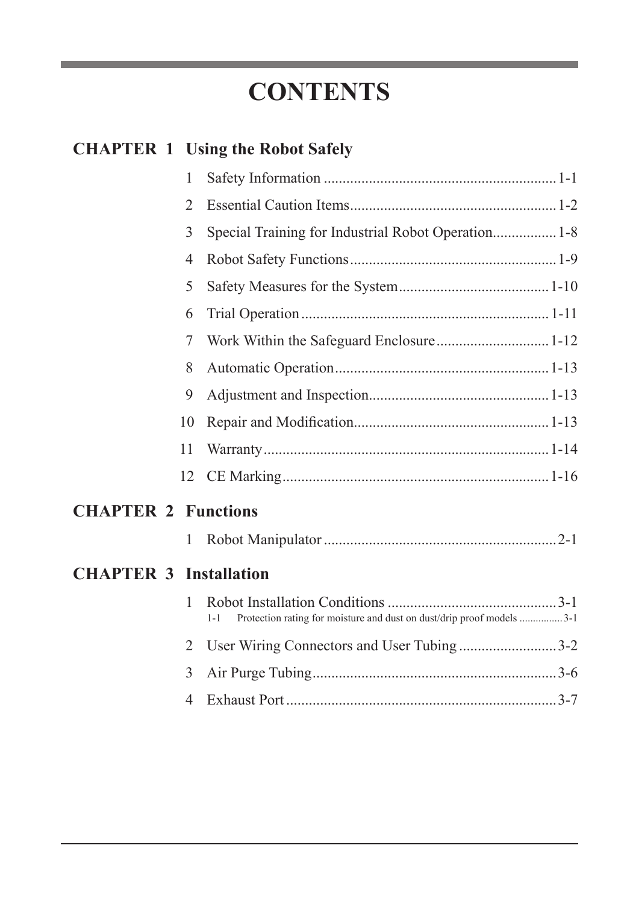# **CONTENTS**

# **CHAPTER 1 Using the Robot Safely**

|              | 1  |           |  |
|--------------|----|-----------|--|
|              | 2  |           |  |
|              | 3  |           |  |
|              | 4  |           |  |
|              | 5  |           |  |
|              | 6  |           |  |
|              | 7  |           |  |
|              | 8  |           |  |
|              | 9  |           |  |
|              | 10 |           |  |
|              | 11 |           |  |
|              |    |           |  |
| $\mathbf{P}$ |    | Functions |  |

# **CHAPTER 2 Functions**

# **CHAPTER 3 Installation**

| 1-1 Protection rating for moisture and dust on dust/drip proof models 3-1 |  |
|---------------------------------------------------------------------------|--|
| 2 User Wiring Connectors and User Tubing3-2                               |  |
|                                                                           |  |
|                                                                           |  |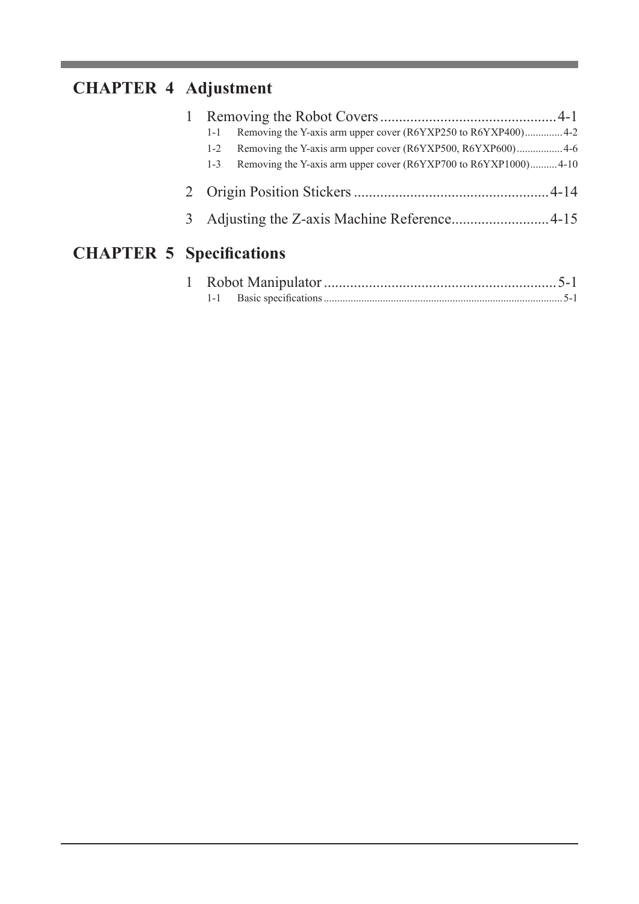# **CHAPTER 4 Adjustment**

| $1 - 1$ | Removing the Y-axis arm upper cover (R6YXP250 to R6YXP400)4-2   |  |
|---------|-----------------------------------------------------------------|--|
| $1 - 2$ |                                                                 |  |
| $1 - 3$ | Removing the Y-axis arm upper cover (R6YXP700 to R6YXP1000)4-10 |  |
|         |                                                                 |  |
|         |                                                                 |  |
|         | $\alpha$ is the set of $\alpha$                                 |  |

# **CHAPTER 5 Specifications**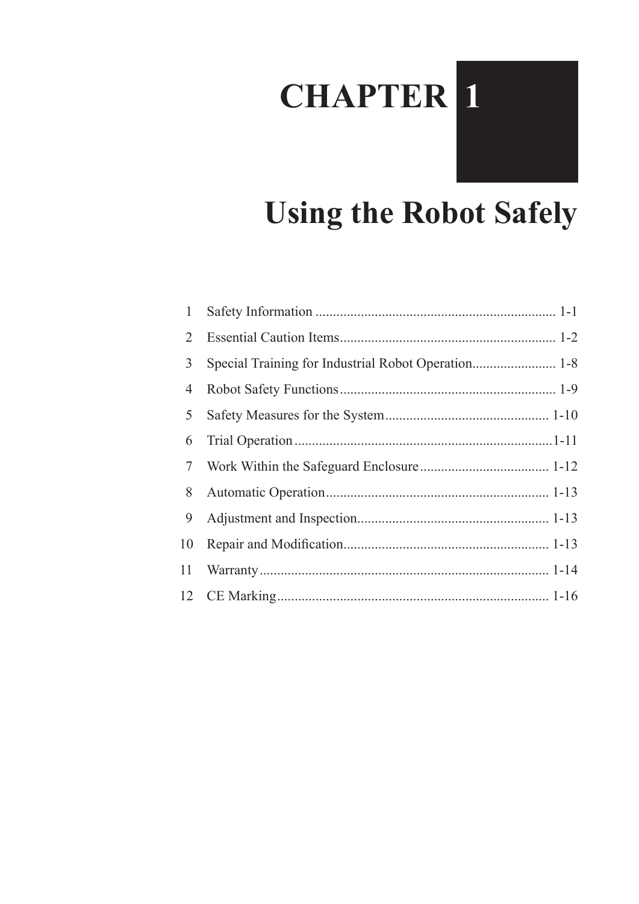# **CHAPTER 1**



| 1  |  |
|----|--|
| 2  |  |
| 3  |  |
| 4  |  |
| 5  |  |
| 6  |  |
| 7  |  |
| 8  |  |
| 9  |  |
| 10 |  |
| 11 |  |
|    |  |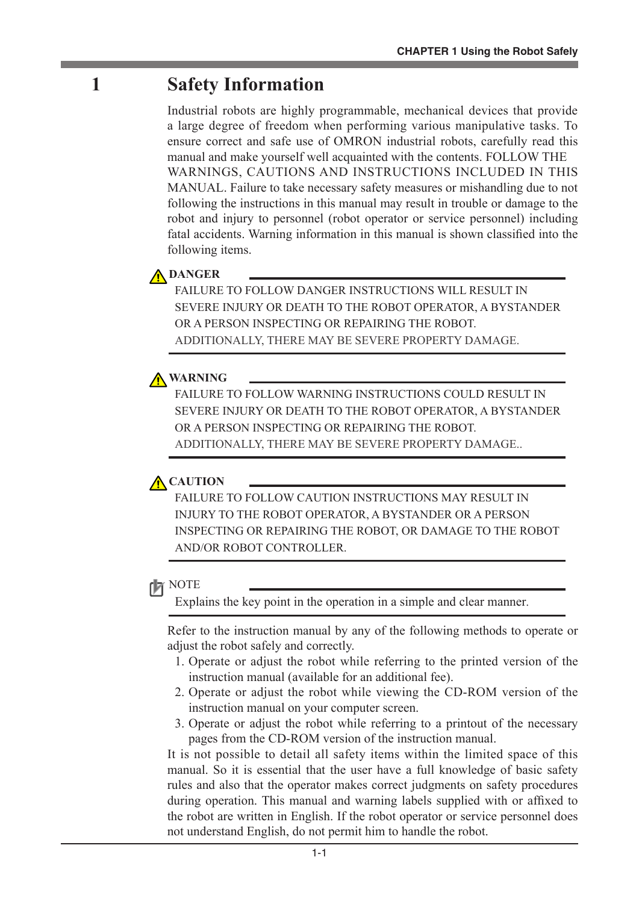# **1 Safety Information**

Industrial robots are highly programmable, mechanical devices that provide a large degree of freedom when performing various manipulative tasks. To ensure correct and safe use of OMRON industrial robots, carefully read this manual and make yourself well acquainted with the contents. FOLLOW THE WARNINGS, CAUTIONS AND INSTRUCTIONS INCLUDED IN THIS MANUAL. Failure to take necessary safety measures or mishandling due to not following the instructions in this manual may result in trouble or damage to the robot and injury to personnel (robot operator or service personnel) including fatal accidents. Warning information in this manual is shown classified into the following items.

## **DANGER**

FAILURE TO FOLLOW DANGER INSTRUCTIONS WILL RESULT IN SEVERE INJURY OR DEATH TO THE ROBOT OPERATOR, A BYSTANDER OR A PERSON INSPECTING OR REPAIRING THE ROBOT. ADDITIONALLY, THERE MAY BE SEVERE PROPERTY DAMAGE.

## **WARNING**

FAILURE TO FOLLOW WARNING INSTRUCTIONS COULD RESULT IN SEVERE INJURY OR DEATH TO THE ROBOT OPERATOR, A BYSTANDER OR A PERSON INSPECTING OR REPAIRING THE ROBOT. ADDITIONALLY, THERE MAY BE SEVERE PROPERTY DAMAGE..

## **CAUTION**

FAILURE TO FOLLOW CAUTION INSTRUCTIONS MAY RESULT IN INJURY TO THE ROBOT OPERATOR, A BYSTANDER OR A PERSON INSPECTING OR REPAIRING THE ROBOT, OR DAMAGE TO THE ROBOT AND/OR ROBOT CONTROLLER.

## **NOTE**

Explains the key point in the operation in a simple and clear manner.

Refer to the instruction manual by any of the following methods to operate or adjust the robot safely and correctly.

- 1. Operate or adjust the robot while referring to the printed version of the instruction manual (available for an additional fee).
- 2. Operate or adjust the robot while viewing the CD-ROM version of the instruction manual on your computer screen.
- 3. Operate or adjust the robot while referring to a printout of the necessary pages from the CD-ROM version of the instruction manual.

It is not possible to detail all safety items within the limited space of this manual. So it is essential that the user have a full knowledge of basic safety rules and also that the operator makes correct judgments on safety procedures during operation. This manual and warning labels supplied with or affixed to the robot are written in English. If the robot operator or service personnel does not understand English, do not permit him to handle the robot.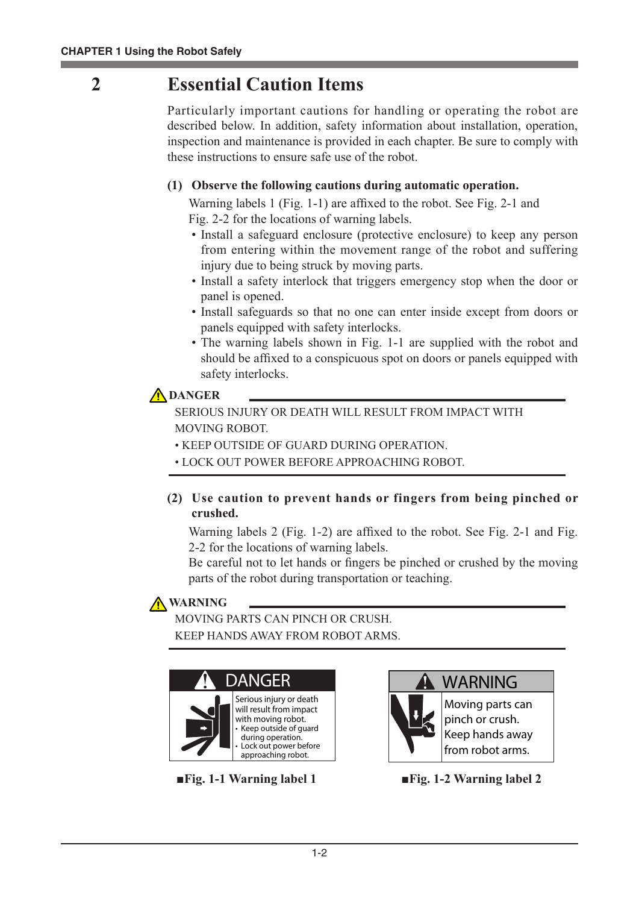# **2 Essential Caution Items**

Particularly important cautions for handling or operating the robot are described below. In addition, safety information about installation, operation, inspection and maintenance is provided in each chapter. Be sure to comply with these instructions to ensure safe use of the robot.

### **(1) Observe the following cautions during automatic operation.**

Warning labels 1 (Fig. 1-1) are affixed to the robot. See Fig. 2-1 and Fig. 2-2 for the locations of warning labels.

- Install a safeguard enclosure (protective enclosure) to keep any person from entering within the movement range of the robot and suffering injury due to being struck by moving parts.
- Install a safety interlock that triggers emergency stop when the door or panel is opened.
- Install safeguards so that no one can enter inside except from doors or panels equipped with safety interlocks.
- The warning labels shown in Fig. 1-1 are supplied with the robot and should be affixed to a conspicuous spot on doors or panels equipped with safety interlocks.

## **DANGER**

SERIOUS INJURY OR DEATH WILL RESULT FROM IMPACT WITH MOVING ROBOT.

- KEEP OUTSIDE OF GUARD DURING OPERATION.
- LOCK OUT POWER BEFORE APPROACHING ROBOT.
- **(2) Use caution to prevent hands or fingers from being pinched or crushed.**

Warning labels 2 (Fig. 1-2) are affixed to the robot. See Fig. 2-1 and Fig. 2-2 for the locations of warning labels.

Be careful not to let hands or fingers be pinched or crushed by the moving parts of the robot during transportation or teaching.

## **WARNING**

MOVING PARTS CAN PINCH OR CRUSH. KEEP HANDS AWAY FROM ROBOT ARMS.







**Moving parts can pinch or crush. Keep hands away from robot arms.**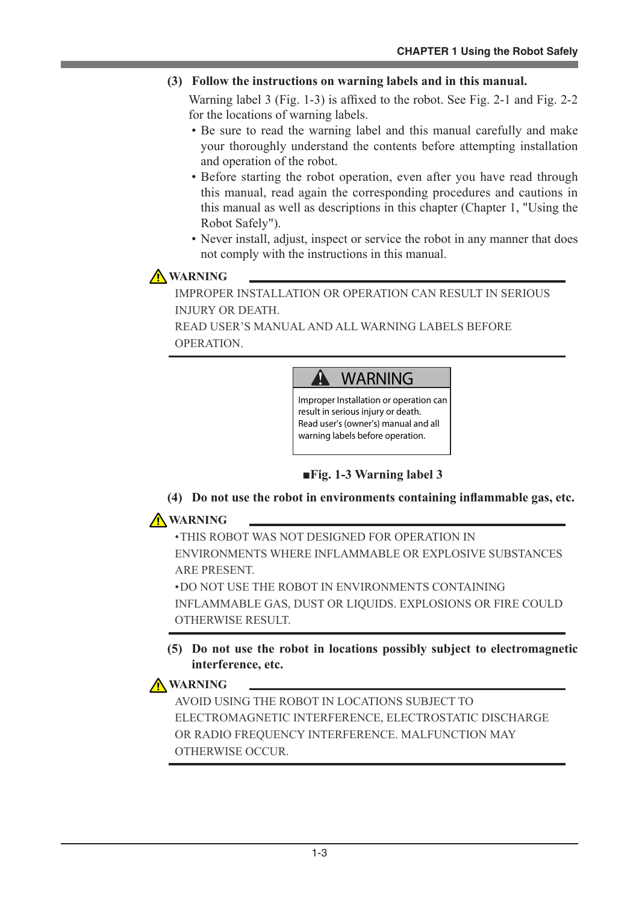#### **(3) Follow the instructions on warning labels and in this manual.**

Warning label 3 (Fig. 1-3) is affixed to the robot. See Fig. 2-1 and Fig. 2-2 for the locations of warning labels.

- Be sure to read the warning label and this manual carefully and make your thoroughly understand the contents before attempting installation and operation of the robot.
- Before starting the robot operation, even after you have read through this manual, read again the corresponding procedures and cautions in this manual as well as descriptions in this chapter (Chapter 1, "Using the Robot Safely").
- Never install, adjust, inspect or service the robot in any manner that does not comply with the instructions in this manual.

## **A** WARNING

IMPROPER INSTALLATION OR OPERATION CAN RESULT IN SERIOUS INJURY OR DEATH.

READ USER'S MANUAL AND ALL WARNING LABELS BEFORE OPERATION.

#### $\blacktriangle$ **WARNING**

**Improper Installation or operation can result in serious injury or death. Read user's (owner's) manual and all warning labels before operation.**

#### ■**Fig. 1-3 Warning label 3**

**(4) Do not use the robot in environments containing inflammable gas, etc.**

## **A** WARNING

•THIS ROBOT WAS NOT DESIGNED FOR OPERATION IN ENVIRONMENTS WHERE INFLAMMABLE OR EXPLOSIVE SUBSTANCES ARE PRESENT.

•DO NOT USE THE ROBOT IN ENVIRONMENTS CONTAINING INFLAMMABLE GAS, DUST OR LIQUIDS. EXPLOSIONS OR FIRE COULD OTHERWISE RESULT.

#### **(5) Do not use the robot in locations possibly subject to electromagnetic interference, etc.**

### **A** WARNING

AVOID USING THE ROBOT IN LOCATIONS SUBJECT TO ELECTROMAGNETIC INTERFERENCE, ELECTROSTATIC DISCHARGE OR RADIO FREQUENCY INTERFERENCE. MALFUNCTION MAY OTHERWISE OCCUR.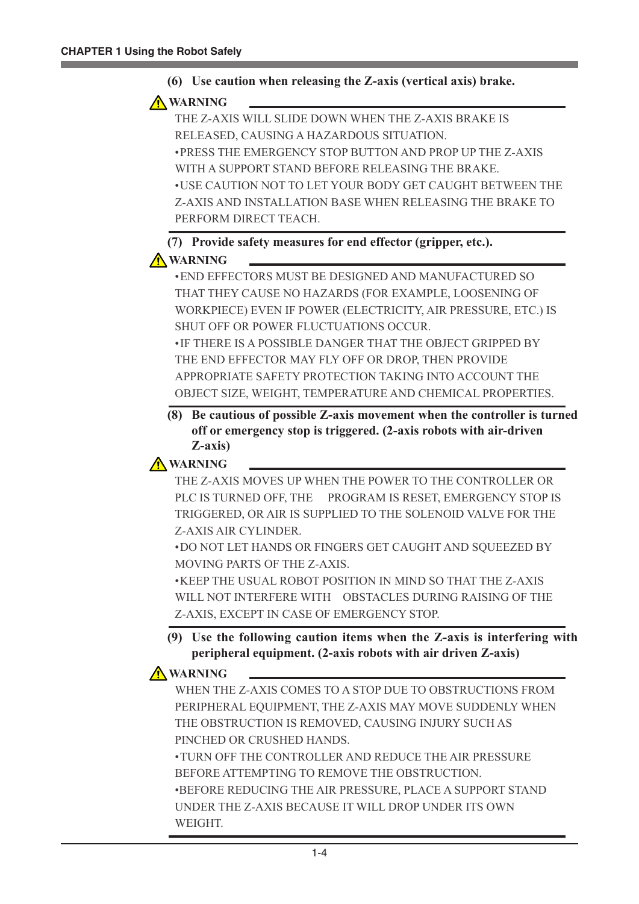

#### **A** WARNING

THE Z-AXIS WILL SLIDE DOWN WHEN THE Z-AXIS BRAKE IS RELEASED, CAUSING A HAZARDOUS SITUATION. •PRESS THE EMERGENCY STOP BUTTON AND PROP UP THE Z-AXIS WITH A SUPPORT STAND BEFORE RELEASING THE BRAKE. •USE CAUTION NOT TO LET YOUR BODY GET CAUGHT BETWEEN THE Z-AXIS AND INSTALLATION BASE WHEN RELEASING THE BRAKE TO PERFORM DIRECT TEACH.

**(7) Provide safety measures for end effector (gripper, etc.).**

#### **A** WARNING

•END EFFECTORS MUST BE DESIGNED AND MANUFACTURED SO THAT THEY CAUSE NO HAZARDS (FOR EXAMPLE, LOOSENING OF WORKPIECE) EVEN IF POWER (ELECTRICITY, AIR PRESSURE, ETC.) IS SHUT OFF OR POWER FLUCTUATIONS OCCUR. •IF THERE IS A POSSIBLE DANGER THAT THE OBJECT GRIPPED BY THE END EFFECTOR MAY FLY OFF OR DROP, THEN PROVIDE APPROPRIATE SAFETY PROTECTION TAKING INTO ACCOUNT THE OBJECT SIZE, WEIGHT, TEMPERATURE AND CHEMICAL PROPERTIES.

**(8) Be cautious of possible Z-axis movement when the controller is turned off or emergency stop is triggered. (2-axis robots with air-driven Z-axis)**



THE Z-AXIS MOVES UP WHEN THE POWER TO THE CONTROLLER OR PLC IS TURNED OFF, THE PROGRAM IS RESET, EMERGENCY STOP IS TRIGGERED, OR AIR IS SUPPLIED TO THE SOLENOID VALVE FOR THE Z-AXIS AIR CYLINDER.

•DO NOT LET HANDS OR FINGERS GET CAUGHT AND SQUEEZED BY MOVING PARTS OF THE Z-AXIS.

•KEEP THE USUAL ROBOT POSITION IN MIND SO THAT THE Z-AXIS WILL NOT INTERFERE WITH OBSTACLES DURING RAISING OF THE Z-AXIS, EXCEPT IN CASE OF EMERGENCY STOP.

#### **(9) Use the following caution items when the Z-axis is interfering with peripheral equipment. (2-axis robots with air driven Z-axis)**

### **A** WARNING

WHEN THE Z-AXIS COMES TO A STOP DUE TO OBSTRUCTIONS FROM PERIPHERAL EQUIPMENT, THE Z-AXIS MAY MOVE SUDDENLY WHEN THE OBSTRUCTION IS REMOVED, CAUSING INJURY SUCH AS PINCHED OR CRUSHED HANDS.

•TURN OFF THE CONTROLLER AND REDUCE THE AIR PRESSURE BEFORE ATTEMPTING TO REMOVE THE OBSTRUCTION. •BEFORE REDUCING THE AIR PRESSURE, PLACE A SUPPORT STAND UNDER THE Z-AXIS BECAUSE IT WILL DROP UNDER ITS OWN WEIGHT.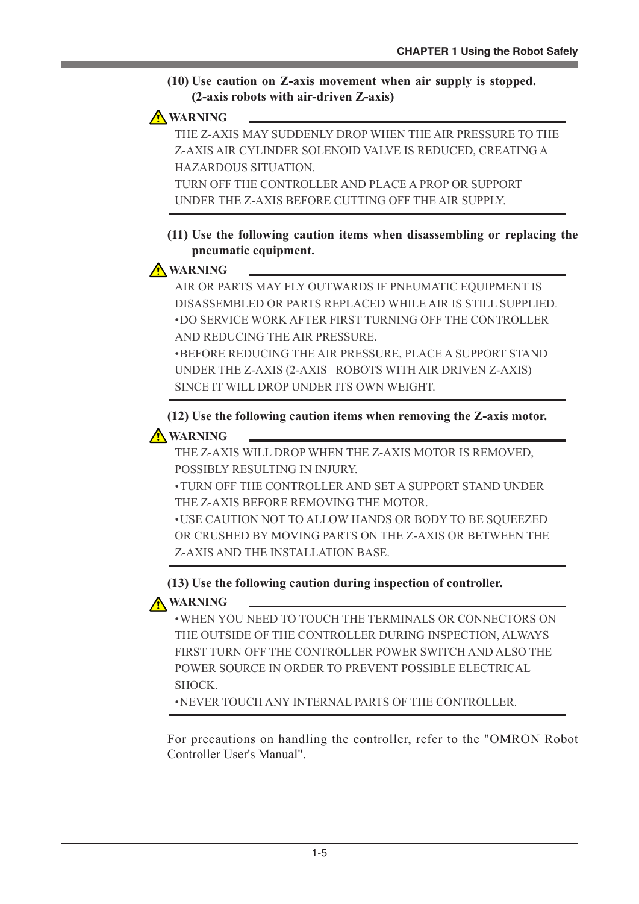#### **(10) Use caution on Z-axis movement when air supply is stopped. (2-axis robots with air-driven Z-axis)**

### **WARNING**

THE Z-AXIS MAY SUDDENLY DROP WHEN THE AIR PRESSURE TO THE Z-AXIS AIR CYLINDER SOLENOID VALVE IS REDUCED, CREATING A HAZARDOUS SITUATION. TURN OFF THE CONTROLLER AND PLACE A PROP OR SUPPORT

UNDER THE Z-AXIS BEFORE CUTTING OFF THE AIR SUPPLY.

#### **(11) Use the following caution items when disassembling or replacing the pneumatic equipment.**

### **A** WARNING

AIR OR PARTS MAY FLY OUTWARDS IF PNEUMATIC EQUIPMENT IS DISASSEMBLED OR PARTS REPLACED WHILE AIR IS STILL SUPPLIED. •DO SERVICE WORK AFTER FIRST TURNING OFF THE CONTROLLER AND REDUCING THE AIR PRESSURE.

•BEFORE REDUCING THE AIR PRESSURE, PLACE A SUPPORT STAND UNDER THE Z-AXIS (2-AXIS ROBOTS WITH AIR DRIVEN Z-AXIS) SINCE IT WILL DROP UNDER ITS OWN WEIGHT.

**(12) Use the following caution items when removing the Z-axis motor. WARNING**

THE Z-AXIS WILL DROP WHEN THE Z-AXIS MOTOR IS REMOVED, POSSIBLY RESULTING IN INJURY.

•TURN OFF THE CONTROLLER AND SET A SUPPORT STAND UNDER THE Z-AXIS BEFORE REMOVING THE MOTOR.

•USE CAUTION NOT TO ALLOW HANDS OR BODY TO BE SQUEEZED OR CRUSHED BY MOVING PARTS ON THE Z-AXIS OR BETWEEN THE Z-AXIS AND THE INSTALLATION BASE.

**(13) Use the following caution during inspection of controller.**

## **A** WARNING

•WHEN YOU NEED TO TOUCH THE TERMINALS OR CONNECTORS ON THE OUTSIDE OF THE CONTROLLER DURING INSPECTION, ALWAYS FIRST TURN OFF THE CONTROLLER POWER SWITCH AND ALSO THE POWER SOURCE IN ORDER TO PREVENT POSSIBLE ELECTRICAL SHOCK.

•NEVER TOUCH ANY INTERNAL PARTS OF THE CONTROLLER.

For precautions on handling the controller, refer to the "OMRON Robot Controller User's Manual".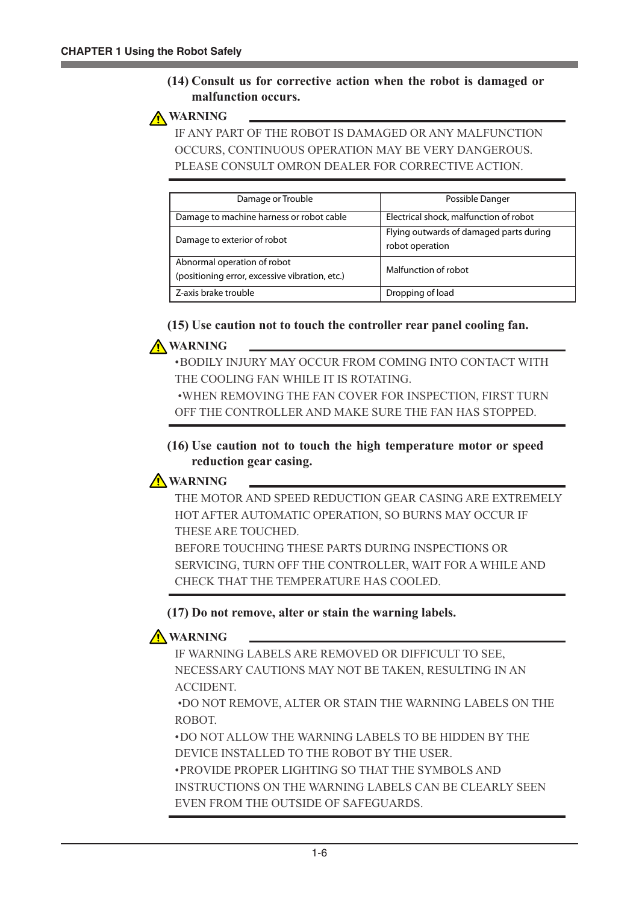#### **(14) Consult us for corrective action when the robot is damaged or malfunction occurs.**



IF ANY PART OF THE ROBOT IS DAMAGED OR ANY MALFUNCTION OCCURS, CONTINUOUS OPERATION MAY BE VERY DANGEROUS. PLEASE CONSULT OMRON DEALER FOR CORRECTIVE ACTION.

| Damage or Trouble                                                             | Possible Danger                                            |
|-------------------------------------------------------------------------------|------------------------------------------------------------|
| Damage to machine harness or robot cable                                      | Electrical shock, malfunction of robot                     |
| Damage to exterior of robot                                                   | Flying outwards of damaged parts during<br>robot operation |
| Abnormal operation of robot<br>(positioning error, excessive vibration, etc.) | Malfunction of robot                                       |
| Z-axis brake trouble                                                          | Dropping of load                                           |

#### **(15) Use caution not to touch the controller rear panel cooling fan.**

#### **WARNING**

•BODILY INJURY MAY OCCUR FROM COMING INTO CONTACT WITH THE COOLING FAN WHILE IT IS ROTATING.

 •WHEN REMOVING THE FAN COVER FOR INSPECTION, FIRST TURN OFF THE CONTROLLER AND MAKE SURE THE FAN HAS STOPPED.

#### **(16) Use caution not to touch the high temperature motor or speed reduction gear casing.**

### **A** WARNING

THE MOTOR AND SPEED REDUCTION GEAR CASING ARE EXTREMELY HOT AFTER AUTOMATIC OPERATION, SO BURNS MAY OCCUR IF THESE ARE TOUCHED.

BEFORE TOUCHING THESE PARTS DURING INSPECTIONS OR SERVICING, TURN OFF THE CONTROLLER, WAIT FOR A WHILE AND CHECK THAT THE TEMPERATURE HAS COOLED.

#### **(17) Do not remove, alter or stain the warning labels.**

## **A** WARNING

IF WARNING LABELS ARE REMOVED OR DIFFICULT TO SEE, NECESSARY CAUTIONS MAY NOT BE TAKEN, RESULTING IN AN ACCIDENT.

 •DO NOT REMOVE, ALTER OR STAIN THE WARNING LABELS ON THE ROBOT.

•DO NOT ALLOW THE WARNING LABELS TO BE HIDDEN BY THE DEVICE INSTALLED TO THE ROBOT BY THE USER.

•PROVIDE PROPER LIGHTING SO THAT THE SYMBOLS AND INSTRUCTIONS ON THE WARNING LABELS CAN BE CLEARLY SEEN EVEN FROM THE OUTSIDE OF SAFEGUARDS.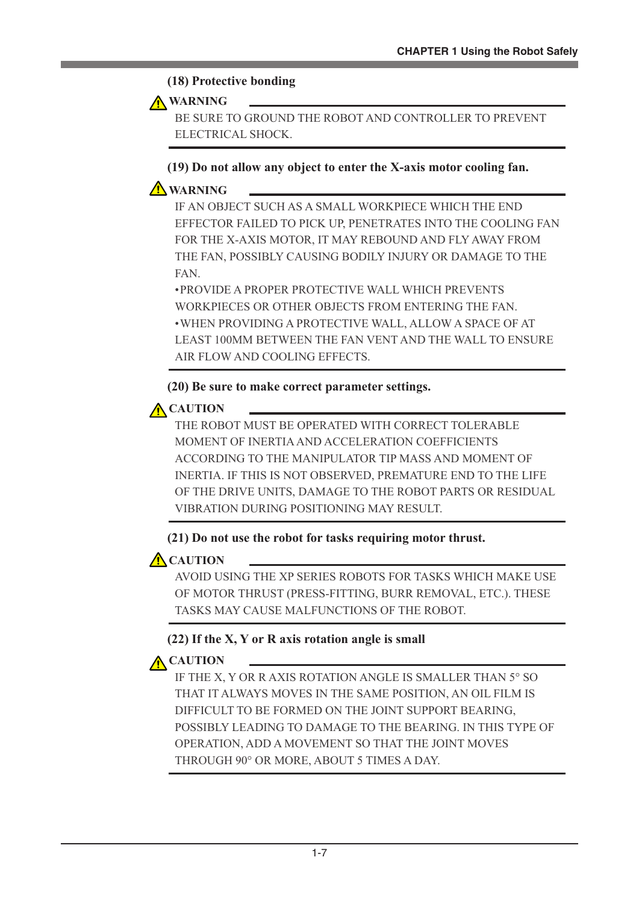#### **(18) Protective bonding**

#### **WARNING**

BE SURE TO GROUND THE ROBOT AND CONTROLLER TO PREVENT ELECTRICAL SHOCK.

**(19) Do not allow any object to enter the X-axis motor cooling fan.**

## **A** WARNING

IF AN OBJECT SUCH AS A SMALL WORKPIECE WHICH THE END EFFECTOR FAILED TO PICK UP, PENETRATES INTO THE COOLING FAN FOR THE X-AXIS MOTOR, IT MAY REBOUND AND FLY AWAY FROM THE FAN, POSSIBLY CAUSING BODILY INJURY OR DAMAGE TO THE FAN.

•PROVIDE A PROPER PROTECTIVE WALL WHICH PREVENTS WORKPIECES OR OTHER OBJECTS FROM ENTERING THE FAN. •WHEN PROVIDING A PROTECTIVE WALL, ALLOW A SPACE OF AT LEAST 100MM BETWEEN THE FAN VENT AND THE WALL TO ENSURE AIR FLOW AND COOLING EFFECTS.

#### **(20) Be sure to make correct parameter settings.**

## **A** CAUTION

THE ROBOT MUST BE OPERATED WITH CORRECT TOLERABLE MOMENT OF INERTIA AND ACCELERATION COEFFICIENTS ACCORDING TO THE MANIPULATOR TIP MASS AND MOMENT OF INERTIA. IF THIS IS NOT OBSERVED, PREMATURE END TO THE LIFE OF THE DRIVE UNITS, DAMAGE TO THE ROBOT PARTS OR RESIDUAL VIBRATION DURING POSITIONING MAY RESULT.

#### **(21) Do not use the robot for tasks requiring motor thrust.**

## **A** CAUTION

AVOID USING THE XP SERIES ROBOTS FOR TASKS WHICH MAKE USE OF MOTOR THRUST (PRESS-FITTING, BURR REMOVAL, ETC.). THESE TASKS MAY CAUSE MALFUNCTIONS OF THE ROBOT.

### **(22) If the X, Y or R axis rotation angle is small**

## **A** CAUTION

IF THE X, Y OR R AXIS ROTATION ANGLE IS SMALLER THAN 5° SO THAT IT ALWAYS MOVES IN THE SAME POSITION, AN OIL FILM IS DIFFICULT TO BE FORMED ON THE JOINT SUPPORT BEARING, POSSIBLY LEADING TO DAMAGE TO THE BEARING. IN THIS TYPE OF OPERATION, ADD A MOVEMENT SO THAT THE JOINT MOVES THROUGH 90° OR MORE, ABOUT 5 TIMES A DAY.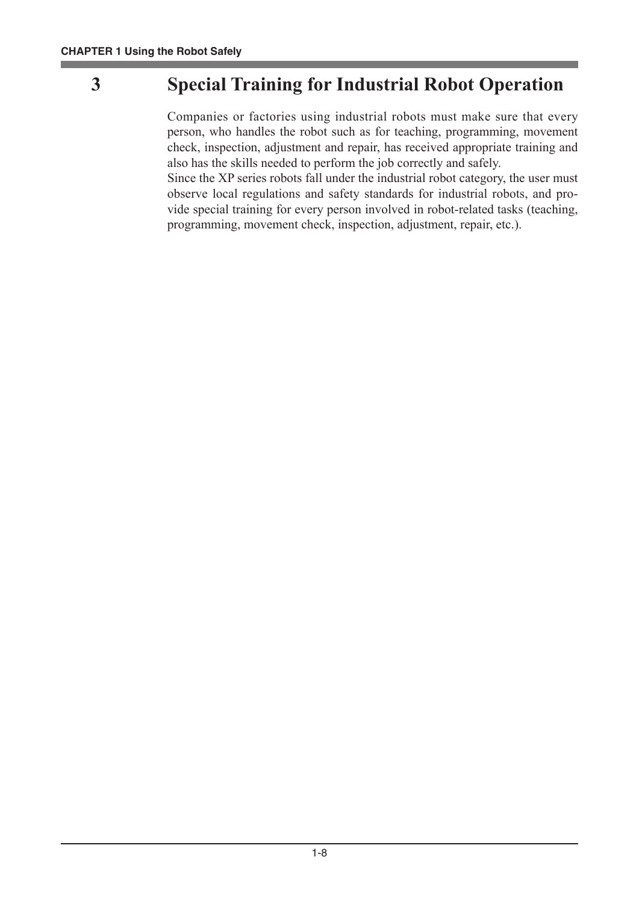# **3 Special Training for Industrial Robot Operation**

Companies or factories using industrial robots must make sure that every person, who handles the robot such as for teaching, programming, movement check, inspection, adjustment and repair, has received appropriate training and also has the skills needed to perform the job correctly and safely.

Since the XP series robots fall under the industrial robot category, the user must observe local regulations and safety standards for industrial robots, and provide special training for every person involved in robot-related tasks (teaching, programming, movement check, inspection, adjustment, repair, etc.).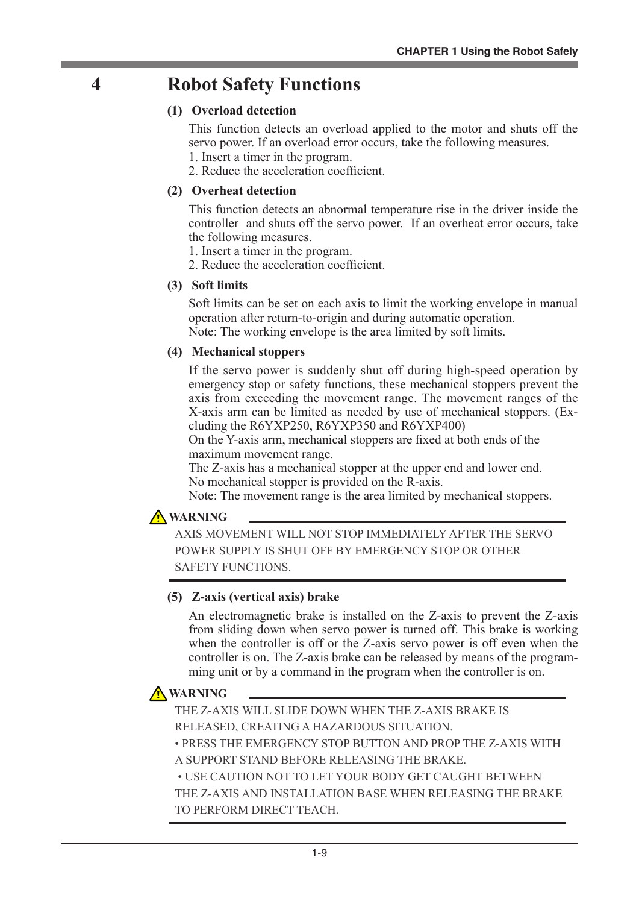# **4 Robot Safety Functions**

#### **(1) Overload detection**

This function detects an overload applied to the motor and shuts off the servo power. If an overload error occurs, take the following measures.

- 1. Insert a timer in the program.
- 2. Reduce the acceleration coefficient.

#### **(2) Overheat detection**

This function detects an abnormal temperature rise in the driver inside the controller and shuts off the servo power. If an overheat error occurs, take the following measures.

1. Insert a timer in the program.

2. Reduce the acceleration coefficient.

#### **(3) Soft limits**

Soft limits can be set on each axis to limit the working envelope in manual operation after return-to-origin and during automatic operation. Note: The working envelope is the area limited by soft limits.

#### **(4) Mechanical stoppers**

If the servo power is suddenly shut off during high-speed operation by emergency stop or safety functions, these mechanical stoppers prevent the axis from exceeding the movement range. The movement ranges of the X-axis arm can be limited as needed by use of mechanical stoppers. (Excluding the R6YXP250, R6YXP350 and R6YXP400)

On the Y-axis arm, mechanical stoppers are fixed at both ends of the maximum movement range.

The Z-axis has a mechanical stopper at the upper end and lower end. No mechanical stopper is provided on the R-axis.

Note: The movement range is the area limited by mechanical stoppers.

#### **A** WARNING

AXIS MOVEMENT WILL NOT STOP IMMEDIATELY AFTER THE SERVO POWER SUPPLY IS SHUT OFF BY EMERGENCY STOP OR OTHER SAFETY FUNCTIONS.

#### **(5) Z-axis (vertical axis) brake**

An electromagnetic brake is installed on the Z-axis to prevent the Z-axis from sliding down when servo power is turned off. This brake is working when the controller is off or the Z-axis servo power is off even when the controller is on. The Z-axis brake can be released by means of the programming unit or by a command in the program when the controller is on.

## **A** WARNING

THE Z-AXIS WILL SLIDE DOWN WHEN THE Z-AXIS BRAKE IS RELEASED, CREATING A HAZARDOUS SITUATION.

• PRESS THE EMERGENCY STOP BUTTON AND PROP THE Z-AXIS WITH A SUPPORT STAND BEFORE RELEASING THE BRAKE.

 • USE CAUTION NOT TO LET YOUR BODY GET CAUGHT BETWEEN THE Z-AXIS AND INSTALLATION BASE WHEN RELEASING THE BRAKE TO PERFORM DIRECT TEACH.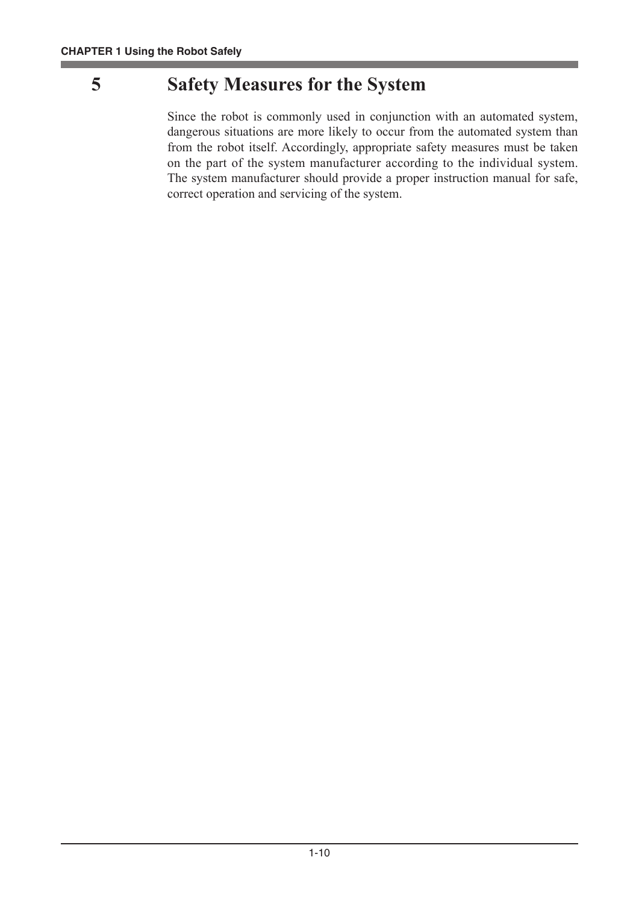# **5 Safety Measures for the System**

Since the robot is commonly used in conjunction with an automated system, dangerous situations are more likely to occur from the automated system than from the robot itself. Accordingly, appropriate safety measures must be taken on the part of the system manufacturer according to the individual system. The system manufacturer should provide a proper instruction manual for safe, correct operation and servicing of the system.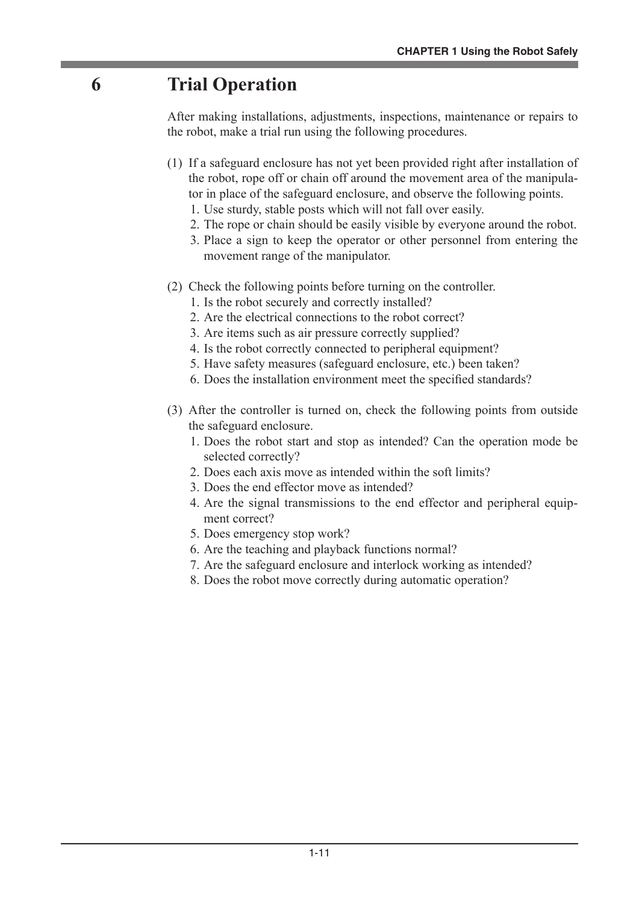# **6 Trial Operation**

After making installations, adjustments, inspections, maintenance or repairs to the robot, make a trial run using the following procedures.

- (1) If a safeguard enclosure has not yet been provided right after installation of the robot, rope off or chain off around the movement area of the manipulator in place of the safeguard enclosure, and observe the following points.
	- 1. Use sturdy, stable posts which will not fall over easily.
	- 2. The rope or chain should be easily visible by everyone around the robot.
	- 3. Place a sign to keep the operator or other personnel from entering the movement range of the manipulator.
- (2) Check the following points before turning on the controller.
	- 1. Is the robot securely and correctly installed?
	- 2. Are the electrical connections to the robot correct?
	- 3. Are items such as air pressure correctly supplied?
	- 4. Is the robot correctly connected to peripheral equipment?
	- 5. Have safety measures (safeguard enclosure, etc.) been taken?
	- 6. Does the installation environment meet the specified standards?
- (3) After the controller is turned on, check the following points from outside the safeguard enclosure.
	- 1. Does the robot start and stop as intended? Can the operation mode be selected correctly?
	- 2. Does each axis move as intended within the soft limits?
	- 3. Does the end effector move as intended?
	- 4. Are the signal transmissions to the end effector and peripheral equipment correct?
	- 5. Does emergency stop work?
	- 6. Are the teaching and playback functions normal?
	- 7. Are the safeguard enclosure and interlock working as intended?
	- 8. Does the robot move correctly during automatic operation?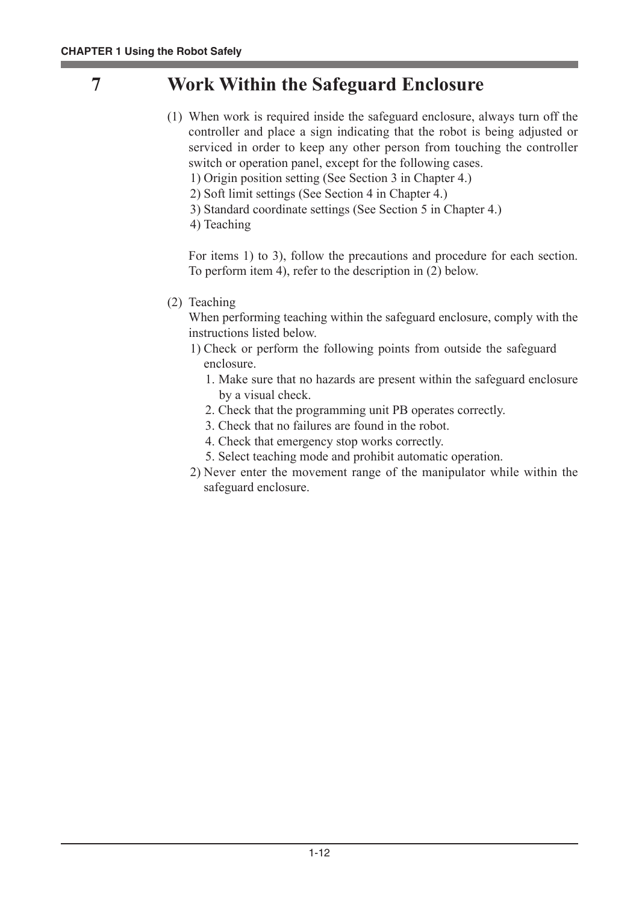# **7 Work Within the Safeguard Enclosure**

- (1) When work is required inside the safeguard enclosure, always turn off the controller and place a sign indicating that the robot is being adjusted or serviced in order to keep any other person from touching the controller switch or operation panel, except for the following cases.
	- 1) Origin position setting (See Section 3 in Chapter 4.)
	- 2) Soft limit settings (See Section 4 in Chapter 4.)
	- 3) Standard coordinate settings (See Section 5 in Chapter 4.)
	- 4) Teaching

For items 1) to 3), follow the precautions and procedure for each section. To perform item 4), refer to the description in (2) below.

(2) Teaching

When performing teaching within the safeguard enclosure, comply with the instructions listed below.

- 1) Check or perform the following points from outside the safeguard enclosure.
	- 1. Make sure that no hazards are present within the safeguard enclosure by a visual check.
	- 2. Check that the programming unit PB operates correctly.
	- 3. Check that no failures are found in the robot.
	- 4. Check that emergency stop works correctly.
	- 5. Select teaching mode and prohibit automatic operation.
- 2) Never enter the movement range of the manipulator while within the safeguard enclosure.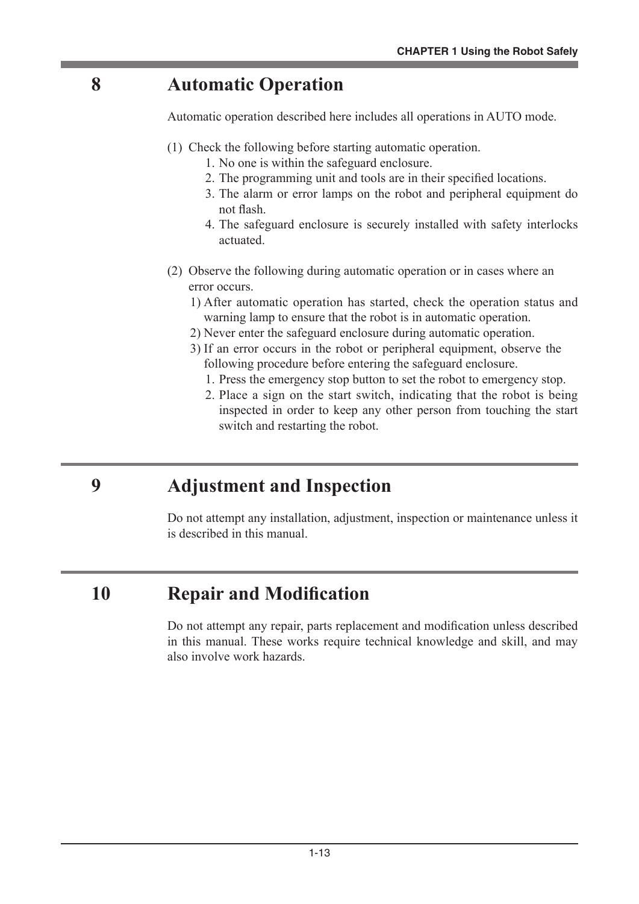# **8 Automatic Operation**

Automatic operation described here includes all operations in AUTO mode.

- (1) Check the following before starting automatic operation.
	- 1. No one is within the safeguard enclosure.
	- 2. The programming unit and tools are in their specified locations.
	- 3. The alarm or error lamps on the robot and peripheral equipment do not flash.
	- 4. The safeguard enclosure is securely installed with safety interlocks actuated.
- (2) Observe the following during automatic operation or in cases where an error occurs.
	- 1) After automatic operation has started, check the operation status and warning lamp to ensure that the robot is in automatic operation.
	- 2) Never enter the safeguard enclosure during automatic operation.
	- 3) If an error occurs in the robot or peripheral equipment, observe the following procedure before entering the safeguard enclosure.
		- 1. Press the emergency stop button to set the robot to emergency stop.
		- 2. Place a sign on the start switch, indicating that the robot is being inspected in order to keep any other person from touching the start switch and restarting the robot.

# **9 Adjustment and Inspection**

Do not attempt any installation, adjustment, inspection or maintenance unless it is described in this manual.

# **10 Repair and Modification**

Do not attempt any repair, parts replacement and modification unless described in this manual. These works require technical knowledge and skill, and may also involve work hazards.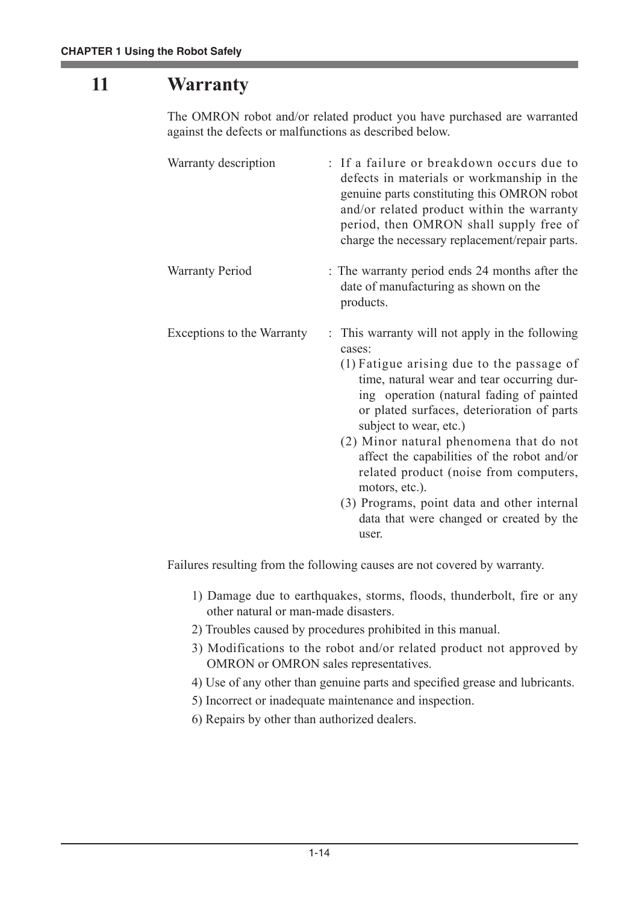# **11 Warranty**

The OMRON robot and/or related product you have purchased are warranted against the defects or malfunctions as described below.

| Warranty description       | : If a failure or breakdown occurs due to<br>defects in materials or workmanship in the<br>genuine parts constituting this OMRON robot<br>and/or related product within the warranty<br>period, then OMRON shall supply free of<br>charge the necessary replacement/repair parts.                                                                                                                                                                                                                                                  |
|----------------------------|------------------------------------------------------------------------------------------------------------------------------------------------------------------------------------------------------------------------------------------------------------------------------------------------------------------------------------------------------------------------------------------------------------------------------------------------------------------------------------------------------------------------------------|
| <b>Warranty Period</b>     | : The warranty period ends 24 months after the<br>date of manufacturing as shown on the<br>products.                                                                                                                                                                                                                                                                                                                                                                                                                               |
| Exceptions to the Warranty | : This warranty will not apply in the following<br>cases:<br>(1) Fatigue arising due to the passage of<br>time, natural wear and tear occurring dur-<br>ing operation (natural fading of painted<br>or plated surfaces, deterioration of parts<br>subject to wear, etc.)<br>(2) Minor natural phenomena that do not<br>affect the capabilities of the robot and/or<br>related product (noise from computers,<br>motors, etc.).<br>(3) Programs, point data and other internal<br>data that were changed or created by the<br>user. |

Failures resulting from the following causes are not covered by warranty.

- 1) Damage due to earthquakes, storms, floods, thunderbolt, fire or any other natural or man-made disasters.
- 2) Troubles caused by procedures prohibited in this manual.
- 3) Modifications to the robot and/or related product not approved by OMRON or OMRON sales representatives.
- 4) Use of any other than genuine parts and specified grease and lubricants.
- 5) Incorrect or inadequate maintenance and inspection.
- 6) Repairs by other than authorized dealers.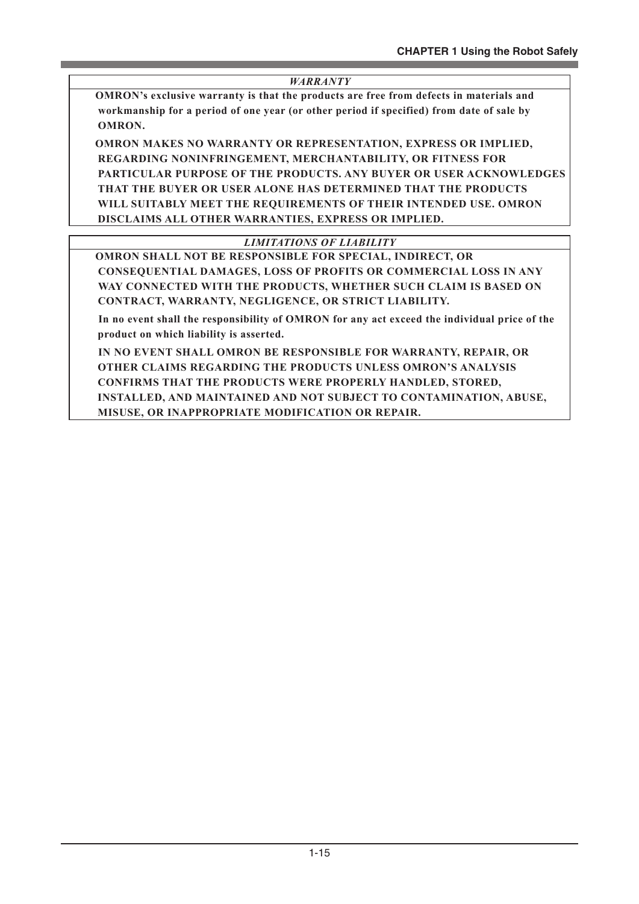#### *WARRANTY*

 **OMRON's exclusive warranty is that the products are free from defects in materials and workmanship for a period of one year (or other period if specified) from date of sale by OMRON.**

 **OMRON MAKES NO WARRANTY OR REPRESENTATION, EXPRESS OR IMPLIED, REGARDING NONINFRINGEMENT, MERCHANTABILITY, OR FITNESS FOR PARTICULAR PURPOSE OF THE PRODUCTS. ANY BUYER OR USER ACKNOWLEDGES THAT THE BUYER OR USER ALONE HAS DETERMINED THAT THE PRODUCTS WILL SUITABLY MEET THE REQUIREMENTS OF THEIR INTENDED USE. OMRON DISCLAIMS ALL OTHER WARRANTIES, EXPRESS OR IMPLIED.**

#### *LIMITATIONS OF LIABILITY*

 **OMRON SHALL NOT BE RESPONSIBLE FOR SPECIAL, INDIRECT, OR CONSEQUENTIAL DAMAGES, LOSS OF PROFITS OR COMMERCIAL LOSS IN ANY WAY CONNECTED WITH THE PRODUCTS, WHETHER SUCH CLAIM IS BASED ON CONTRACT, WARRANTY, NEGLIGENCE, OR STRICT LIABILITY.**

 **In no event shall the responsibility of OMRON for any act exceed the individual price of the product on which liability is asserted.**

 **IN NO EVENT SHALL OMRON BE RESPONSIBLE FOR WARRANTY, REPAIR, OR OTHER CLAIMS REGARDING THE PRODUCTS UNLESS OMRON'S ANALYSIS CONFIRMS THAT THE PRODUCTS WERE PROPERLY HANDLED, STORED, INSTALLED, AND MAINTAINED AND NOT SUBJECT TO CONTAMINATION, ABUSE, MISUSE, OR INAPPROPRIATE MODIFICATION OR REPAIR.**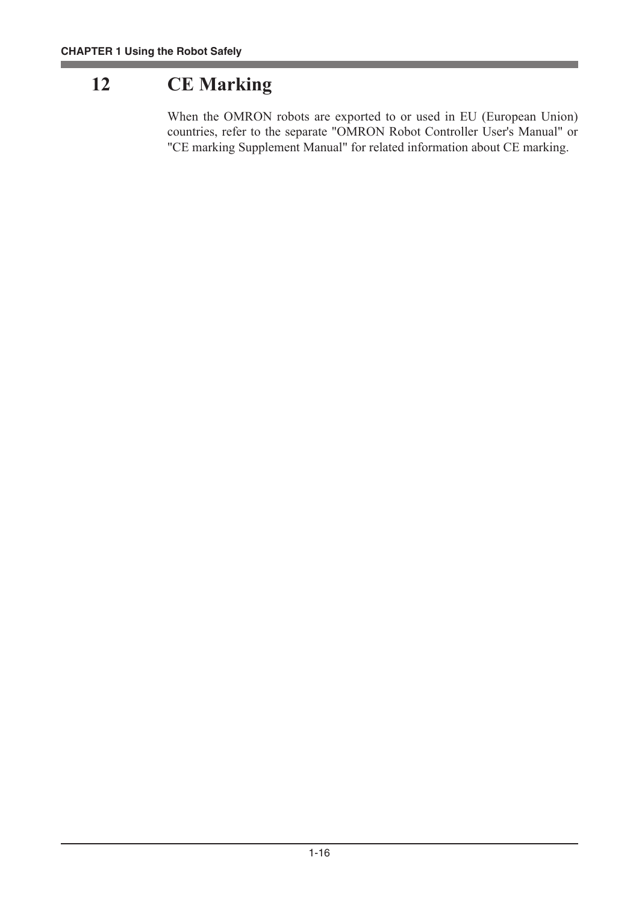# **12 CE Marking**

When the OMRON robots are exported to or used in EU (European Union) countries, refer to the separate "OMRON Robot Controller User's Manual" or "CE marking Supplement Manual" for related information about CE marking.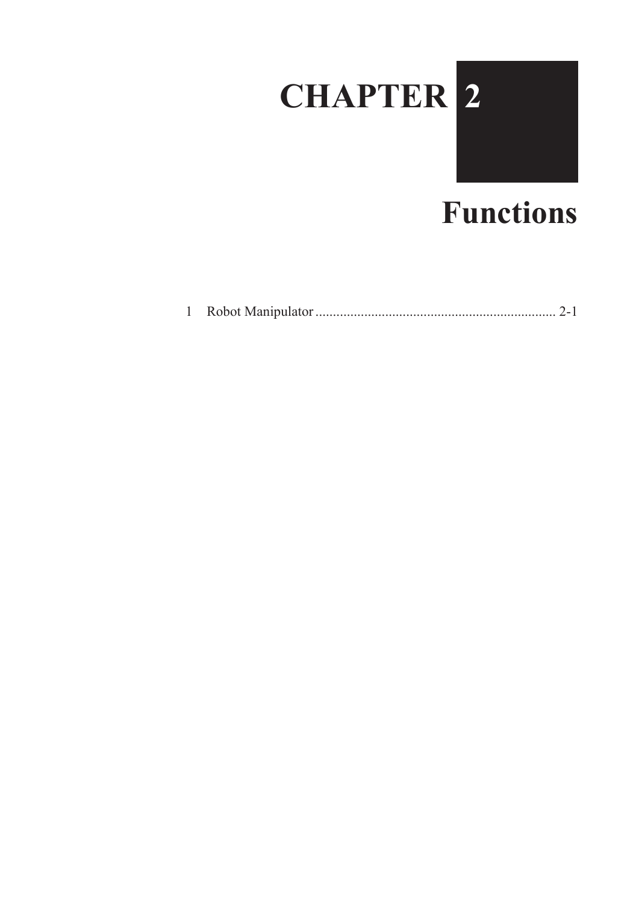

# **Functions**

|--|--|--|--|--|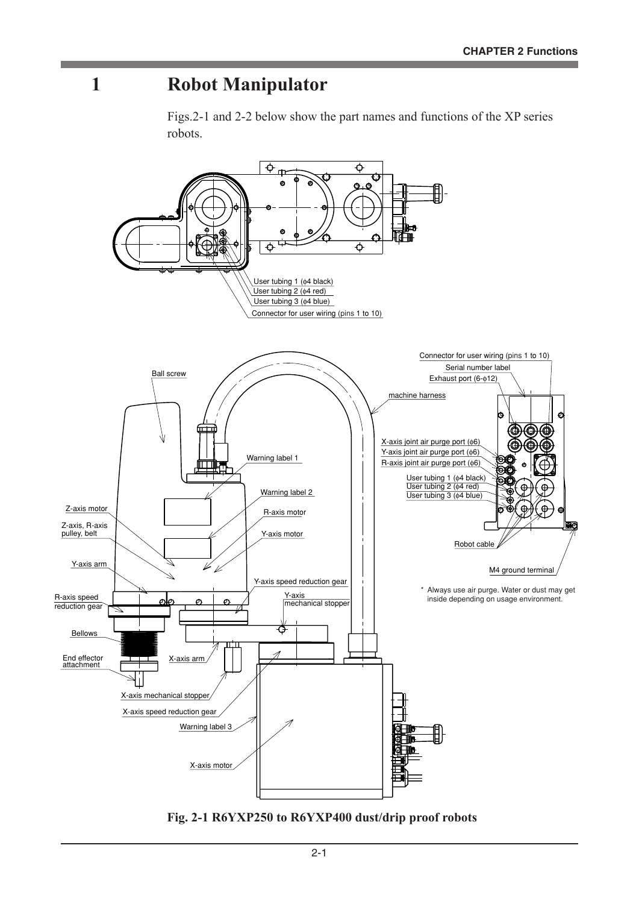# **1 Robot Manipulator**

Figs.2-1 and 2-2 below show the part names and functions of the XP series robots.



**Fig. 2-1 R6YXP250 to R6YXP400 dust/drip proof robots**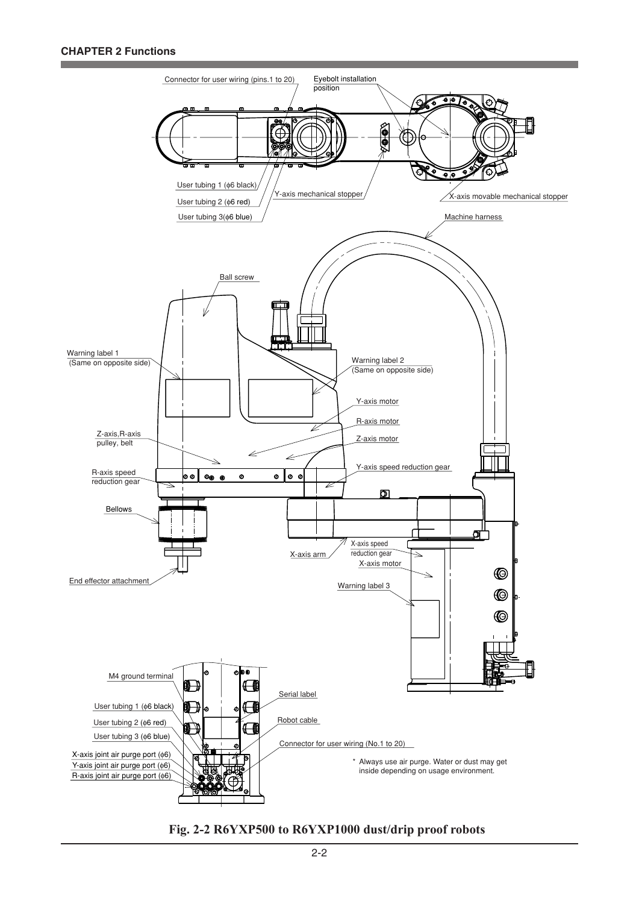#### **CHAPTER 2 Functions**



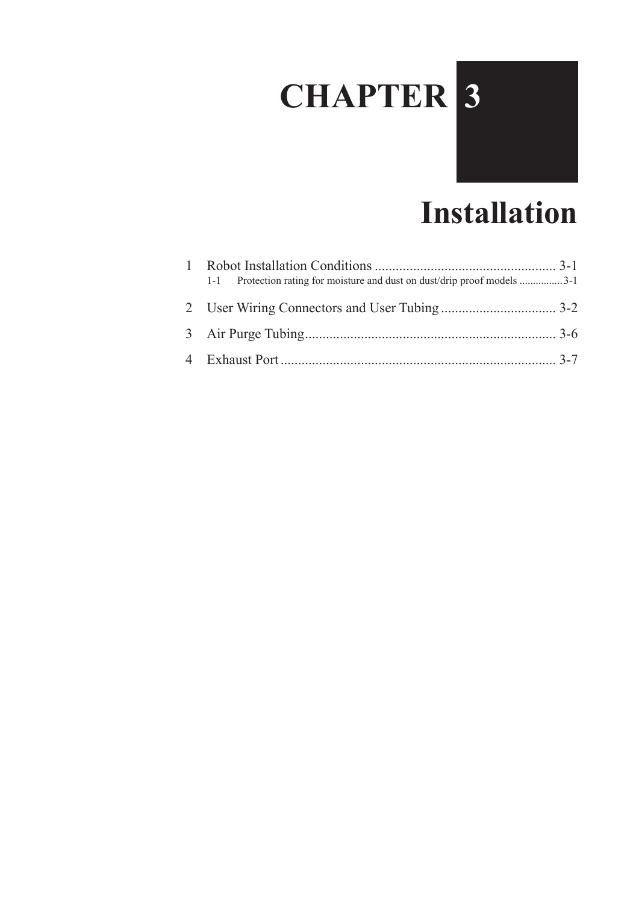# **CHAPTER 3**



| 1-1 Protection rating for moisture and dust on dust/drip proof models 3-1 |  |
|---------------------------------------------------------------------------|--|
|                                                                           |  |
|                                                                           |  |
|                                                                           |  |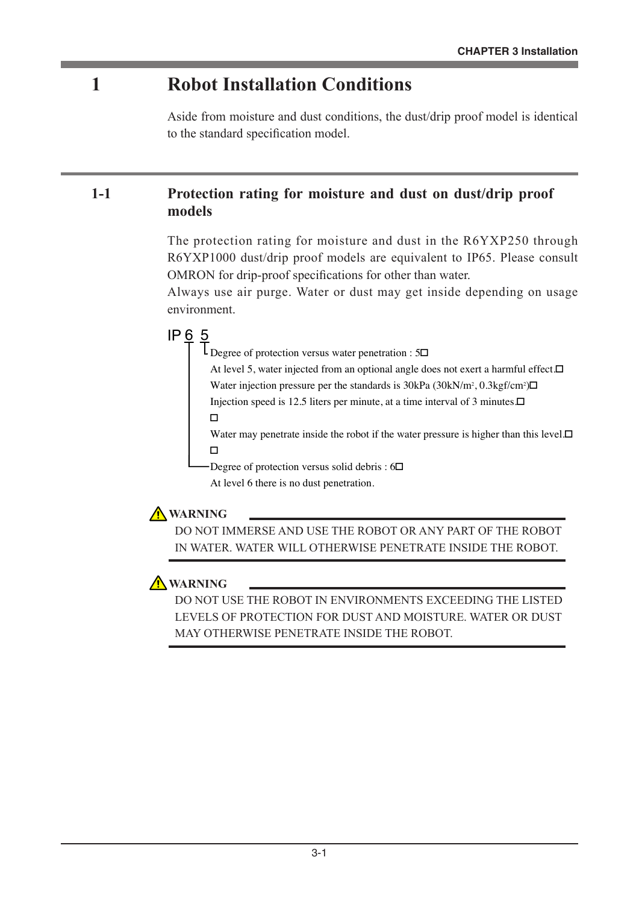# **1 Robot Installation Conditions**

Aside from moisture and dust conditions, the dust/drip proof model is identical to the standard specification model.

## **1-1 Protection rating for moisture and dust on dust/drip proof models**

The protection rating for moisture and dust in the R6YXP250 through R6YXP1000 dust/drip proof models are equivalent to IP65. Please consult OMRON for drip-proof specifications for other than water.

Always use air purge. Water or dust may get inside depending on usage environment.

# IP 6 5

L Degree of protection versus water penetration :  $5\Box$ 

At level 5, water injected from an optional angle does not exert a harmful effect. Water injection pressure per the standards is  $30kPa$  ( $30kN/m^2$ ,  $0.3kgf/cm^2$ ) $\Box$ 

Injection speed is 12.5 liters per minute, at a time interval of 3 minutes. $\Box$ 

 $\Box$ 

Water may penetrate inside the robot if the water pressure is higher than this level. $\Box$  $\Box$ 

Degree of protection versus solid debris :  $6\Box$ 

At level 6 there is no dust penetration.

## **WARNING**

DO NOT IMMERSE AND USE THE ROBOT OR ANY PART OF THE ROBOT IN WATER. WATER WILL OTHERWISE PENETRATE INSIDE THE ROBOT.

## **A** WARNING

DO NOT USE THE ROBOT IN ENVIRONMENTS EXCEEDING THE LISTED LEVELS OF PROTECTION FOR DUST AND MOISTURE. WATER OR DUST MAY OTHERWISE PENETRATE INSIDE THE ROBOT.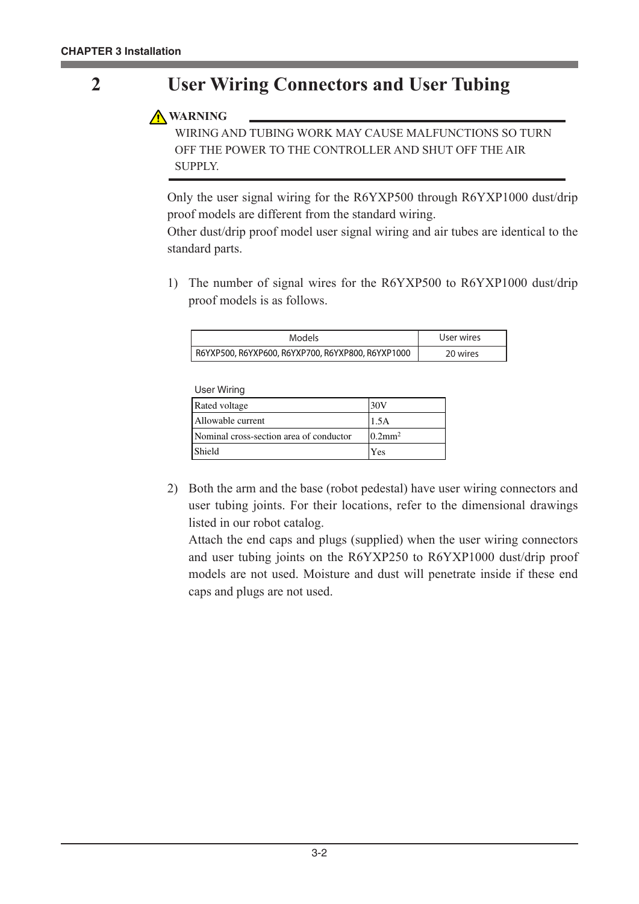# **2 User Wiring Connectors and User Tubing**

## **WARNING**

WIRING AND TUBING WORK MAY CAUSE MALFUNCTIONS SO TURN OFF THE POWER TO THE CONTROLLER AND SHUT OFF THE AIR SUPPLY.

Only the user signal wiring for the R6YXP500 through R6YXP1000 dust/drip proof models are different from the standard wiring.

Other dust/drip proof model user signal wiring and air tubes are identical to the standard parts.

1) The number of signal wires for the R6YXP500 to R6YXP1000 dust/drip proof models is as follows.

| Models                                            | User wires |
|---------------------------------------------------|------------|
| R6YXP500, R6YXP600, R6YXP700, R6YXP800, R6YXP1000 | 20 wires   |

User Wiring

| Rated voltage                           | 30V                    |
|-----------------------------------------|------------------------|
| Allowable current                       | 1.5A                   |
| Nominal cross-section area of conductor | $10.2$ mm <sup>2</sup> |
| <b>Shield</b>                           | Yes                    |

2) Both the arm and the base (robot pedestal) have user wiring connectors and user tubing joints. For their locations, refer to the dimensional drawings listed in our robot catalog.

Attach the end caps and plugs (supplied) when the user wiring connectors and user tubing joints on the R6YXP250 to R6YXP1000 dust/drip proof models are not used. Moisture and dust will penetrate inside if these end caps and plugs are not used.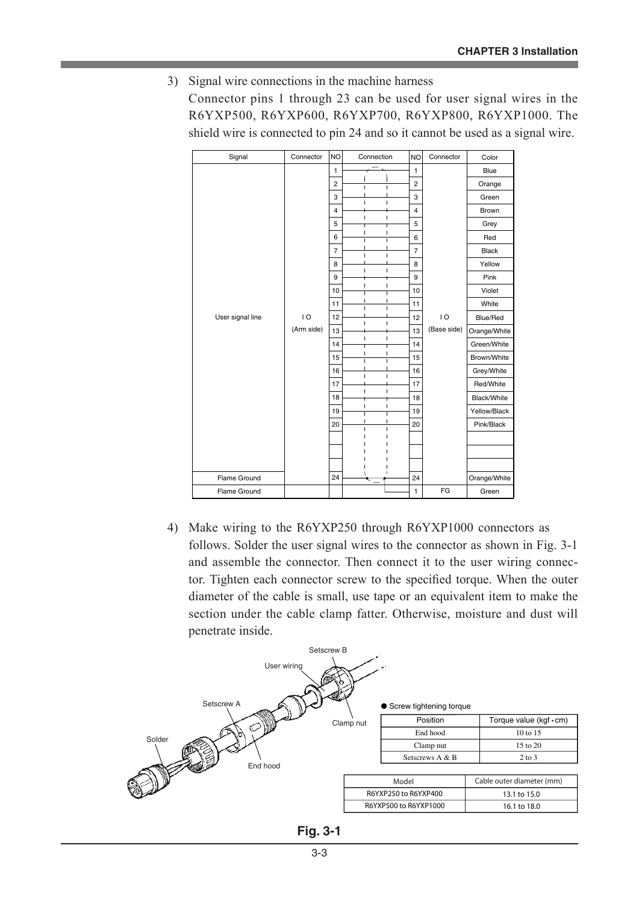3) Signal wire connections in the machine harness Connector pins 1 through 23 can be used for user signal wires in the R6YXP500, R6YXP600, R6YXP700, R6YXP800, R6YXP1000. The shield wire is connected to pin 24 and so it cannot be used as a signal wire.

| Signal           | Connector      | <b>NO</b>      | Connection                               | <b>NO</b>      | Connector   | Color        |
|------------------|----------------|----------------|------------------------------------------|----------------|-------------|--------------|
|                  |                | $\mathbf{1}$   |                                          | 1              |             | Blue         |
|                  |                | $\overline{c}$ |                                          | $\overline{2}$ |             | Orange       |
|                  |                | 3              | Ï<br>Ĩ.                                  | 3              |             | Green        |
|                  |                | $\overline{4}$ |                                          | $\overline{4}$ |             | <b>Brown</b> |
|                  |                | 5              | I.<br>$\overline{\phantom{a}}$           | 5              |             | Grey         |
|                  |                | 6              | I                                        | 6              |             | Red          |
|                  |                | $\overline{7}$ | Ï<br>Ĭ.                                  | $\overline{7}$ |             | <b>Black</b> |
|                  |                | 8              | Ï                                        | 8              |             | Yellow       |
|                  |                | 9              |                                          | 9              |             | Pink         |
|                  |                | 10             | ı                                        | 10             |             | Violet       |
|                  |                | 11             |                                          | 11             |             | White        |
| User signal line | $\overline{1}$ | 12             | Ĩ.                                       | 12             | 10          | Blue/Red     |
|                  | (Arm side)     | 13             |                                          | 13             | (Base side) | Orange/White |
|                  |                | 14             | I                                        | 14             |             | Green/White  |
|                  |                | 15             | ı                                        | 15             |             | Brown/White  |
|                  |                | 16             | $\overline{1}$<br>T                      | 16             |             | Grey/White   |
|                  |                | 17             |                                          | 17             |             | Red/White    |
|                  |                | 18             | I.<br>$\overline{1}$                     | 18             |             | Black/White  |
|                  |                | 19             | $\overline{1}$<br>I<br>$\mathbf{I}$<br>T | 19             |             | Yellow/Black |
|                  |                | 20             | I.<br>$\mathbf{I}$                       | 20             |             | Pink/Black   |
|                  |                |                |                                          |                |             |              |
|                  |                |                |                                          |                |             |              |
|                  |                |                |                                          |                |             |              |
| Flame Ground     |                | 24             |                                          | 24             |             | Orange/White |
| Flame Ground     |                |                |                                          | 1              | FG          | Green        |
|                  |                |                |                                          |                |             |              |

4) Make wiring to the R6YXP250 through R6YXP1000 connectors as follows. Solder the user signal wires to the connector as shown in Fig. 3-1 and assemble the connector. Then connect it to the user wiring connector. Tighten each connector screw to the specified torque. When the outer diameter of the cable is small, use tape or an equivalent item to make the section under the cable clamp fatter. Otherwise, moisture and dust will penetrate inside.



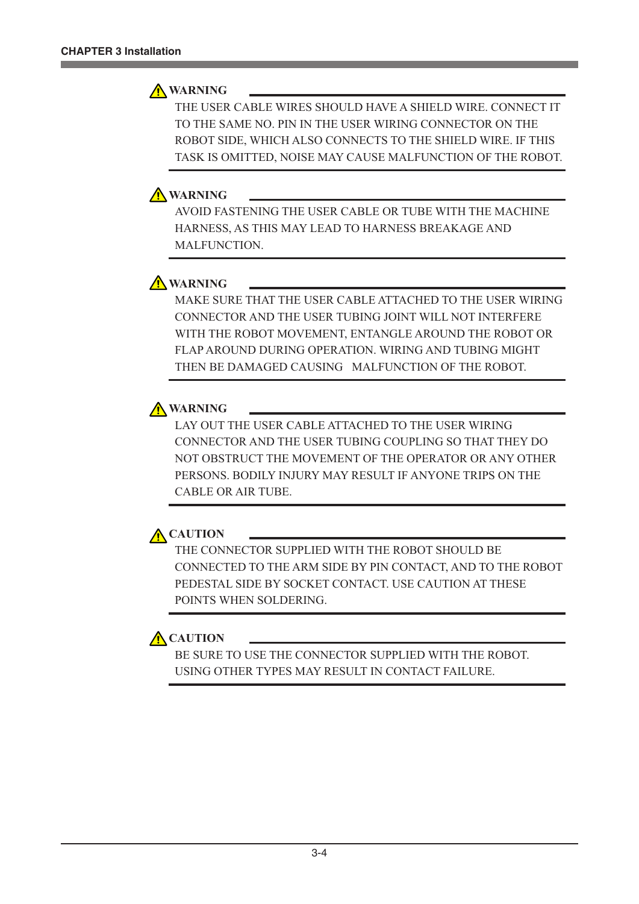## **A** WARNING

THE USER CABLE WIRES SHOULD HAVE A SHIELD WIRE. CONNECT IT TO THE SAME NO. PIN IN THE USER WIRING CONNECTOR ON THE ROBOT SIDE, WHICH ALSO CONNECTS TO THE SHIELD WIRE. IF THIS TASK IS OMITTED, NOISE MAY CAUSE MALFUNCTION OF THE ROBOT.

## **WARNING**

AVOID FASTENING THE USER CABLE OR TUBE WITH THE MACHINE HARNESS, AS THIS MAY LEAD TO HARNESS BREAKAGE AND MALFUNCTION.

## **A** WARNING

MAKE SURE THAT THE USER CABLE ATTACHED TO THE USER WIRING CONNECTOR AND THE USER TUBING JOINT WILL NOT INTERFERE WITH THE ROBOT MOVEMENT, ENTANGLE AROUND THE ROBOT OR FLAP AROUND DURING OPERATION. WIRING AND TUBING MIGHT THEN BE DAMAGED CAUSING MALFUNCTION OF THE ROBOT.

# **A** WARNING

LAY OUT THE USER CABLE ATTACHED TO THE USER WIRING CONNECTOR AND THE USER TUBING COUPLING SO THAT THEY DO NOT OBSTRUCT THE MOVEMENT OF THE OPERATOR OR ANY OTHER PERSONS. BODILY INJURY MAY RESULT IF ANYONE TRIPS ON THE CABLE OR AIR TUBE.



THE CONNECTOR SUPPLIED WITH THE ROBOT SHOULD BE CONNECTED TO THE ARM SIDE BY PIN CONTACT, AND TO THE ROBOT PEDESTAL SIDE BY SOCKET CONTACT. USE CAUTION AT THESE POINTS WHEN SOLDERING.

# **A** CAUTION

BE SURE TO USE THE CONNECTOR SUPPLIED WITH THE ROBOT. USING OTHER TYPES MAY RESULT IN CONTACT FAILURE.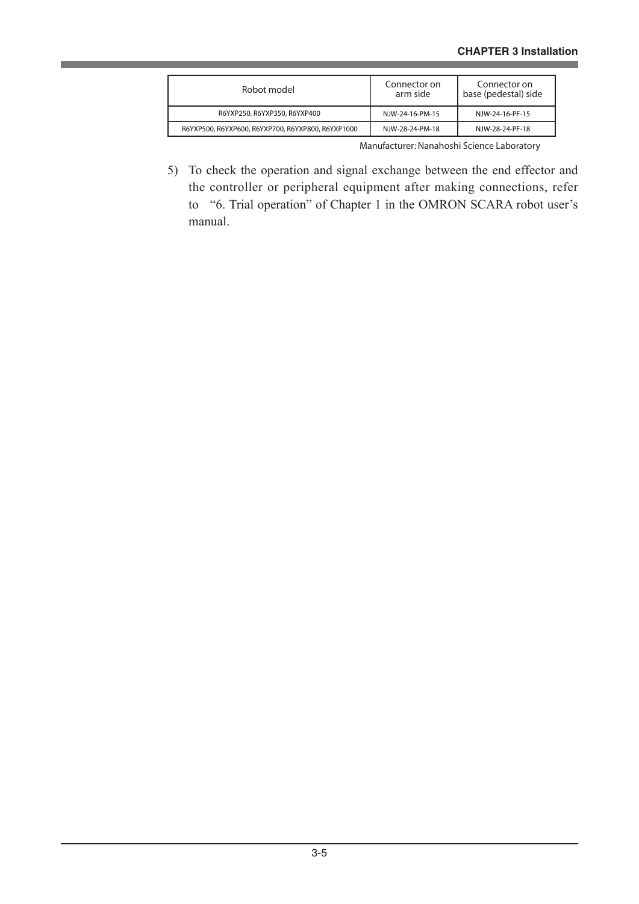| Robot model                                       | Connector on<br>arm side | Connector on<br>base (pedestal) side |  |
|---------------------------------------------------|--------------------------|--------------------------------------|--|
| R6YXP250, R6YXP350, R6YXP400                      | NJW-24-16-PM-15          | NJW-24-16-PF-15                      |  |
| R6YXP500, R6YXP600, R6YXP700, R6YXP800, R6YXP1000 | NJW-28-24-PM-18          | NJW-28-24-PF-18                      |  |

Manufacturer: Nanahoshi Science Laboratory

5) To check the operation and signal exchange between the end effector and the controller or peripheral equipment after making connections, refer to "6. Trial operation" of Chapter 1 in the OMRON SCARA robot user's manual.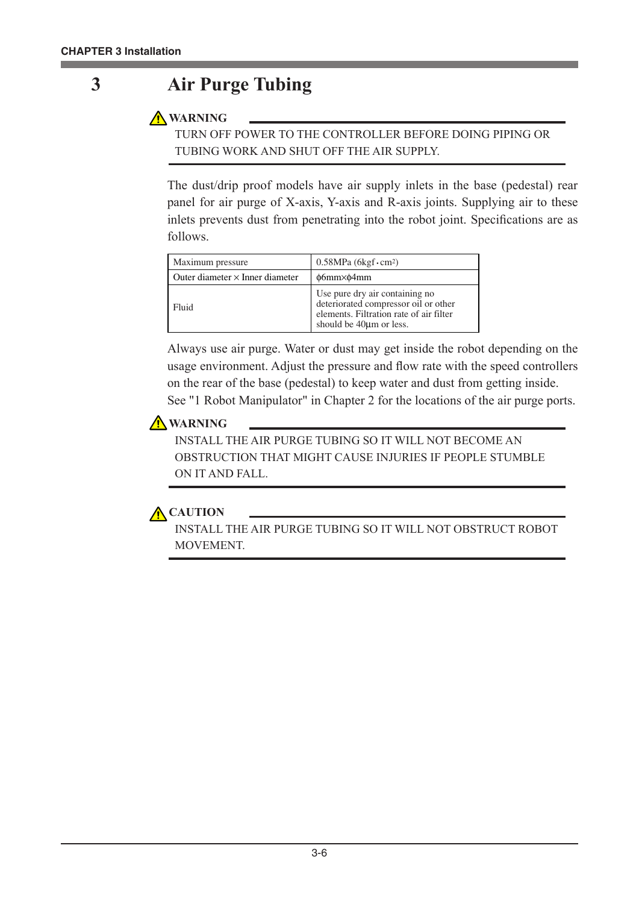# **3 Air Purge Tubing**

**WARNING**

TURN OFF POWER TO THE CONTROLLER BEFORE DOING PIPING OR TUBING WORK AND SHUT OFF THE AIR SUPPLY.

The dust/drip proof models have air supply inlets in the base (pedestal) rear panel for air purge of X-axis, Y-axis and R-axis joints. Supplying air to these inlets prevents dust from penetrating into the robot joint. Specifications are as follows.

| Maximum pressure                       | $0.58MPa (6kgf \cdot cm^2)$                                                                                                                              |  |  |
|----------------------------------------|----------------------------------------------------------------------------------------------------------------------------------------------------------|--|--|
| Outer diameter $\times$ Inner diameter | $\phi$ 6mm $\times$ $\phi$ 4mm                                                                                                                           |  |  |
| Fluid                                  | Use pure dry air containing no<br>deteriorated compressor oil or other<br>elements. Filtration rate of air filter<br>should be 40 <sub>km</sub> or less. |  |  |

Always use air purge. Water or dust may get inside the robot depending on the usage environment. Adjust the pressure and flow rate with the speed controllers on the rear of the base (pedestal) to keep water and dust from getting inside. See "1 Robot Manipulator" in Chapter 2 for the locations of the air purge ports.

## **A** WARNING

INSTALL THE AIR PURGE TUBING SO IT WILL NOT BECOME AN OBSTRUCTION THAT MIGHT CAUSE INJURIES IF PEOPLE STUMBLE ON IT AND FALL.

## **A** CAUTION

INSTALL THE AIR PURGE TUBING SO IT WILL NOT OBSTRUCT ROBOT MOVEMENT.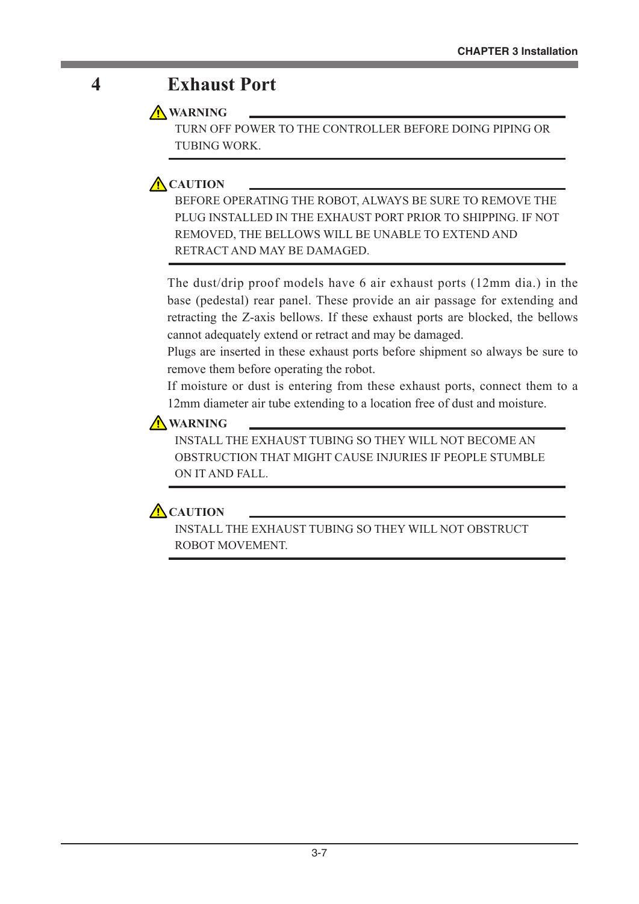# **4 Exhaust Port**

## **A** WARNING

TURN OFF POWER TO THE CONTROLLER BEFORE DOING PIPING OR TUBING WORK.

# **A** CAUTION

BEFORE OPERATING THE ROBOT, ALWAYS BE SURE TO REMOVE THE PLUG INSTALLED IN THE EXHAUST PORT PRIOR TO SHIPPING. IF NOT REMOVED, THE BELLOWS WILL BE UNABLE TO EXTEND AND RETRACT AND MAY BE DAMAGED.

The dust/drip proof models have 6 air exhaust ports (12mm dia.) in the base (pedestal) rear panel. These provide an air passage for extending and retracting the Z-axis bellows. If these exhaust ports are blocked, the bellows cannot adequately extend or retract and may be damaged.

Plugs are inserted in these exhaust ports before shipment so always be sure to remove them before operating the robot.

If moisture or dust is entering from these exhaust ports, connect them to a 12mm diameter air tube extending to a location free of dust and moisture.

## **A** WARNING

INSTALL THE EXHAUST TUBING SO THEY WILL NOT BECOME AN OBSTRUCTION THAT MIGHT CAUSE INJURIES IF PEOPLE STUMBLE ON IT AND FALL.

## **A** CAUTION

INSTALL THE EXHAUST TUBING SO THEY WILL NOT OBSTRUCT ROBOT MOVEMENT.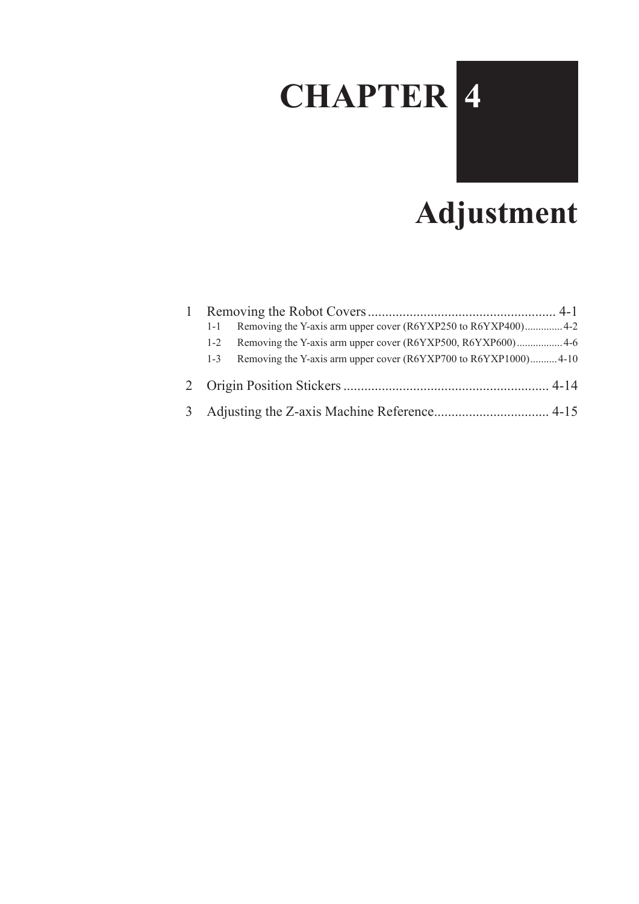# **CHAPTER 4**



# **Adjustment**

| $1 - 1$ | Removing the Y-axis arm upper cover (R6YXP250 to R6YXP400) 4-2  |  |
|---------|-----------------------------------------------------------------|--|
| $1 - 2$ |                                                                 |  |
| $1 - 3$ | Removing the Y-axis arm upper cover (R6YXP700 to R6YXP1000)4-10 |  |
|         |                                                                 |  |
|         |                                                                 |  |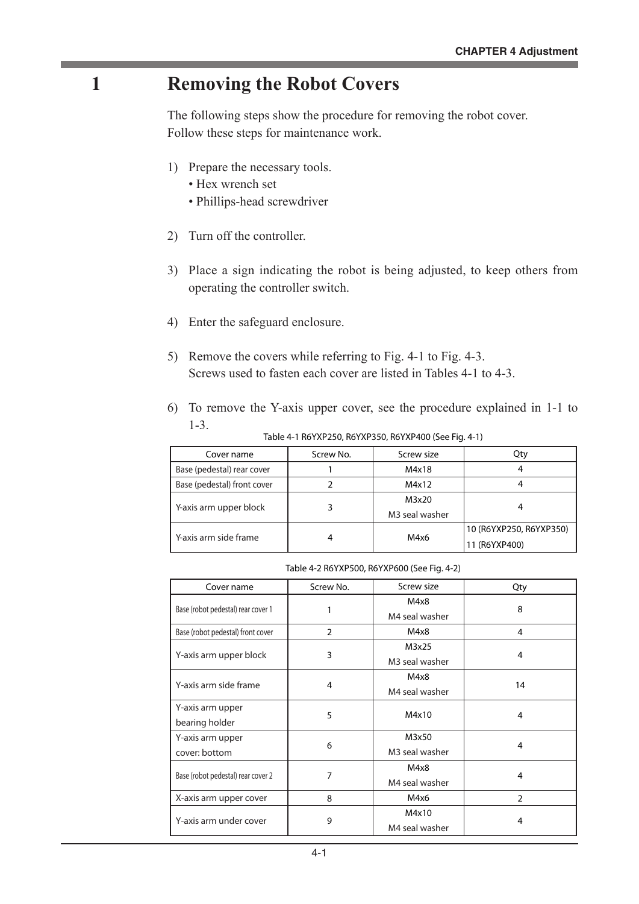# **1 Removing the Robot Covers**

The following steps show the procedure for removing the robot cover. Follow these steps for maintenance work.

- 1) Prepare the necessary tools.
	- Hex wrench set
	- Phillips-head screwdriver
- 2) Turn off the controller.
- 3) Place a sign indicating the robot is being adjusted, to keep others from operating the controller switch.
- 4) Enter the safeguard enclosure.
- 5) Remove the covers while referring to Fig. 4-1 to Fig. 4-3. Screws used to fasten each cover are listed in Tables 4-1 to 4-3.
- 6) To remove the Y-axis upper cover, see the procedure explained in 1-1 to 1-3.

| Cover name                  | Screw No. | Screw size                          | Qtv                                      |
|-----------------------------|-----------|-------------------------------------|------------------------------------------|
| Base (pedestal) rear cover  |           | M4x18                               |                                          |
| Base (pedestal) front cover |           | M4x12                               |                                          |
| Y-axis arm upper block      |           | M3x20<br>M <sub>3</sub> seal washer | 4                                        |
| Y-axis arm side frame       |           | M4x6                                | 10 (R6YXP250, R6YXP350)<br>11 (R6YXP400) |

Table 4-1 R6YXP250, R6YXP350, R6YXP400 (See Fig. 4-1)

| Table 4-2 R6YXP500, R6YXP600 (See Fig. 4-2) |  |  |
|---------------------------------------------|--|--|
|---------------------------------------------|--|--|

| Cover name                         | Screw No.      | Screw size     | Qty            |
|------------------------------------|----------------|----------------|----------------|
|                                    |                | M4x8           |                |
| Base (robot pedestal) rear cover 1 |                | M4 seal washer | 8              |
| Base (robot pedestal) front cover  | $\overline{2}$ | M4x8           | 4              |
|                                    |                | M3x25          |                |
| Y-axis arm upper block             | 3              | M3 seal washer | 4              |
|                                    |                | M4x8           |                |
| Y-axis arm side frame              | 4              | M4 seal washer | 14             |
| Y-axis arm upper                   | 5              | M4x10          |                |
| bearing holder                     |                |                | $\overline{4}$ |
| Y-axis arm upper                   | 6              | M3x50          |                |
| cover: bottom                      |                | M3 seal washer | 4              |
|                                    | 7              | M4x8           | $\overline{4}$ |
| Base (robot pedestal) rear cover 2 |                | M4 seal washer |                |
| X-axis arm upper cover             | 8              | M4x6           | $\overline{2}$ |
| Y-axis arm under cover             | 9              | M4x10          |                |
|                                    |                | M4 seal washer | 4              |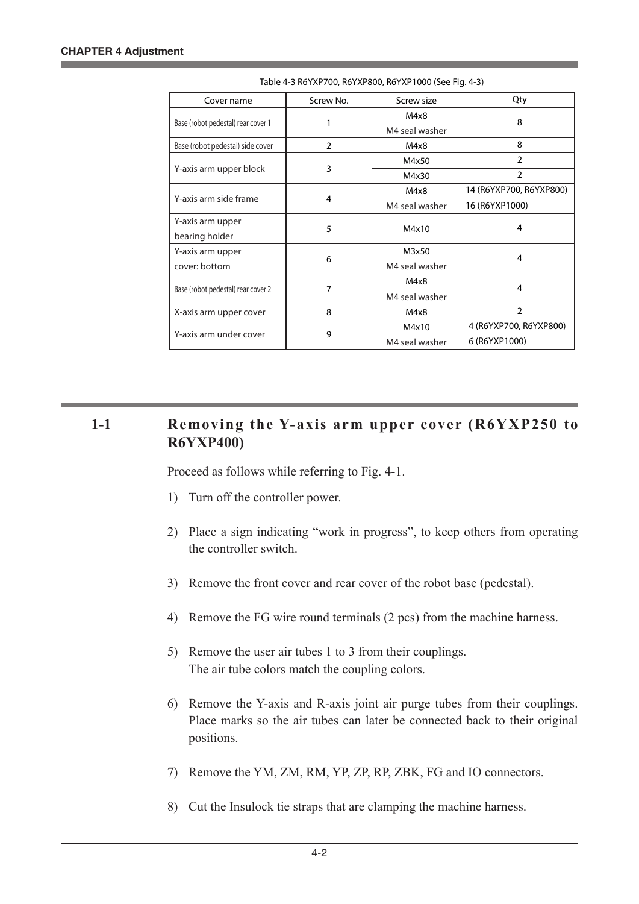| Cover name                         | Screw No.      | Screw size     | Qty                     |  |
|------------------------------------|----------------|----------------|-------------------------|--|
|                                    |                | M4x8           | 8                       |  |
| Base (robot pedestal) rear cover 1 |                | M4 seal washer |                         |  |
| Base (robot pedestal) side cover   | $\overline{2}$ | M4x8           | 8                       |  |
|                                    |                | M4x50          | $\mathfrak{D}$          |  |
| Y-axis arm upper block             | 3              | M4x30          | $\overline{2}$          |  |
|                                    |                | M4x8           | 14 (R6YXP700, R6YXP800) |  |
| Y-axis arm side frame              | 4              | M4 seal washer | 16 (R6YXP1000)          |  |
| Y-axis arm upper                   |                |                | 4                       |  |
| bearing holder                     | 5              | M4x10          |                         |  |
| Y-axis arm upper                   |                | M3x50          | 4                       |  |
| cover: bottom                      | 6              | M4 seal washer |                         |  |
|                                    |                | M4x8           | 4                       |  |
| Base (robot pedestal) rear cover 2 | 7              | M4 seal washer |                         |  |
| X-axis arm upper cover             | 8              | M4x8           | $\overline{2}$          |  |
|                                    |                | M4x10          | 4 (R6YXP700, R6YXP800)  |  |
| Y-axis arm under cover             | 9              | M4 seal washer | 6 (R6YXP1000)           |  |

Table 4-3 R6YXP700, R6YXP800, R6YXP1000 (See Fig. 4-3)

## 1-1 **Removing the Y-axis arm upper cover (R6YXP250 to R6YXP400)**

Proceed as follows while referring to Fig. 4-1.

- 1) Turn off the controller power.
- 2) Place a sign indicating "work in progress", to keep others from operating the controller switch.
- 3) Remove the front cover and rear cover of the robot base (pedestal).
- 4) Remove the FG wire round terminals (2 pcs) from the machine harness.
- 5) Remove the user air tubes 1 to 3 from their couplings. The air tube colors match the coupling colors.
- 6) Remove the Y-axis and R-axis joint air purge tubes from their couplings. Place marks so the air tubes can later be connected back to their original positions.
- 7) Remove the YM, ZM, RM, YP, ZP, RP, ZBK, FG and IO connectors.
- 8) Cut the Insulock tie straps that are clamping the machine harness.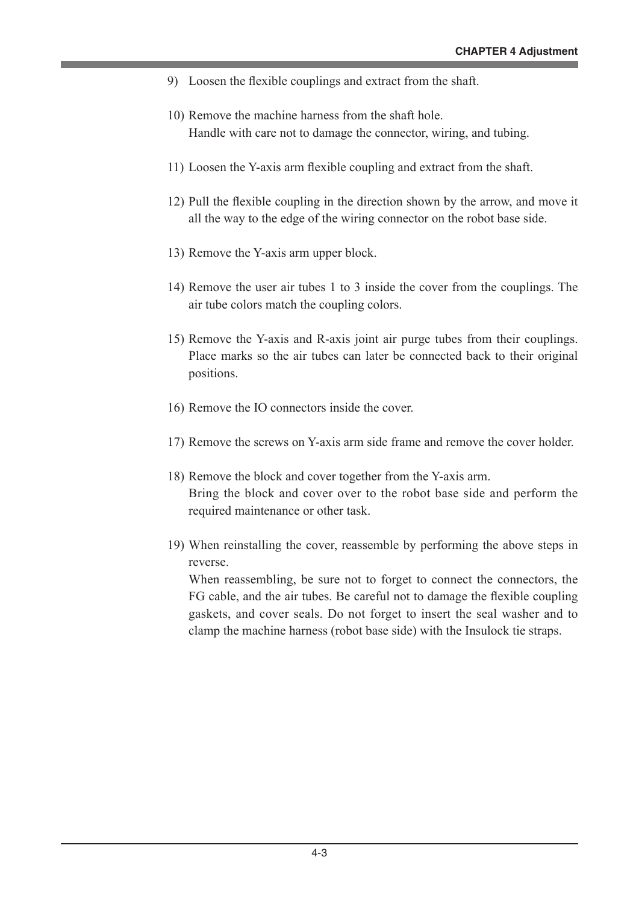- 9) Loosen the flexible couplings and extract from the shaft.
- 10) Remove the machine harness from the shaft hole. Handle with care not to damage the connector, wiring, and tubing.
- 11) Loosen the Y-axis arm flexible coupling and extract from the shaft.
- 12) Pull the flexible coupling in the direction shown by the arrow, and move it all the way to the edge of the wiring connector on the robot base side.
- 13) Remove the Y-axis arm upper block.
- 14) Remove the user air tubes 1 to 3 inside the cover from the couplings. The air tube colors match the coupling colors.
- 15) Remove the Y-axis and R-axis joint air purge tubes from their couplings. Place marks so the air tubes can later be connected back to their original positions.
- 16) Remove the IO connectors inside the cover.
- 17) Remove the screws on Y-axis arm side frame and remove the cover holder.
- 18) Remove the block and cover together from the Y-axis arm. Bring the block and cover over to the robot base side and perform the required maintenance or other task.
- 19) When reinstalling the cover, reassemble by performing the above steps in reverse.

When reassembling, be sure not to forget to connect the connectors, the FG cable, and the air tubes. Be careful not to damage the flexible coupling gaskets, and cover seals. Do not forget to insert the seal washer and to clamp the machine harness (robot base side) with the Insulock tie straps.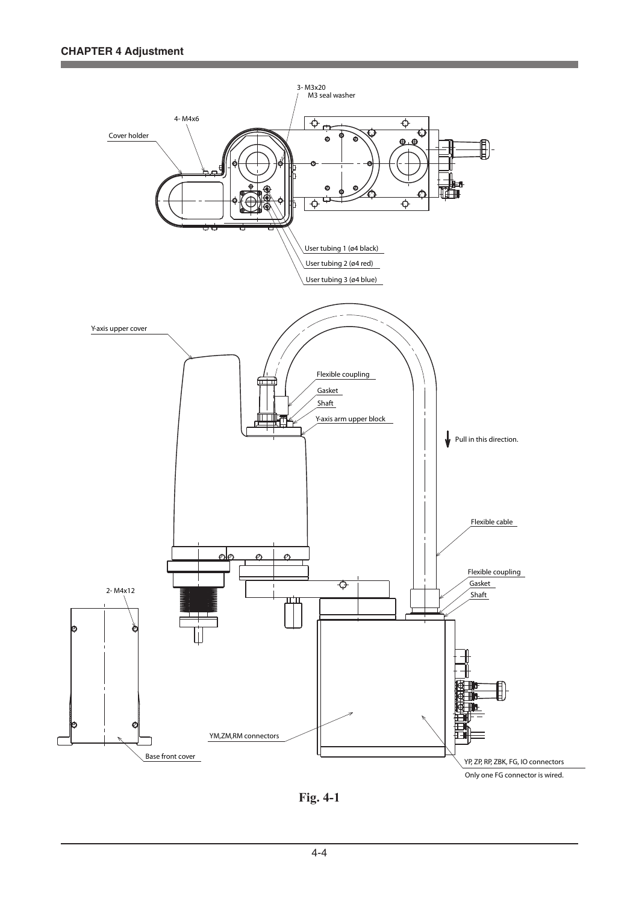

**Fig. 4-1**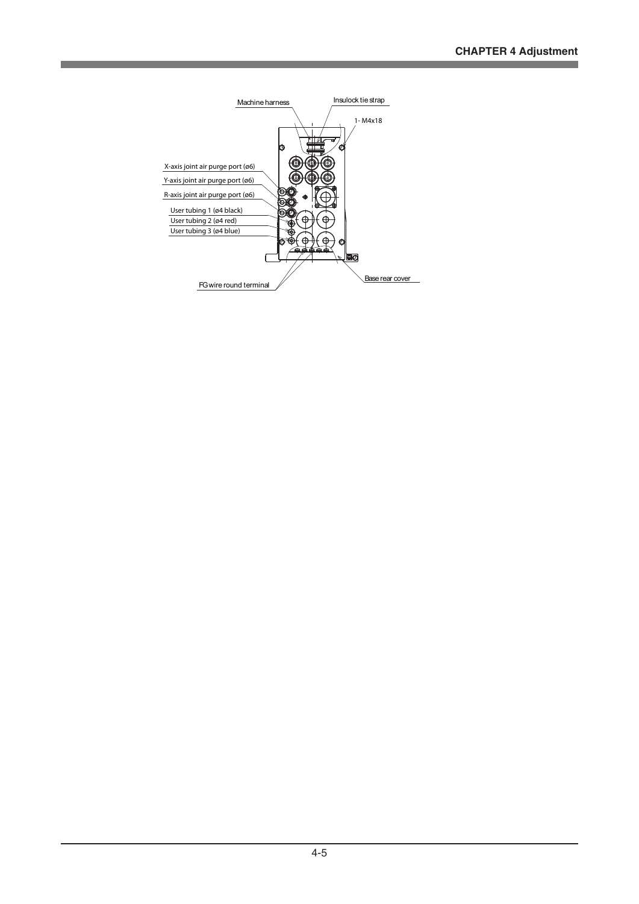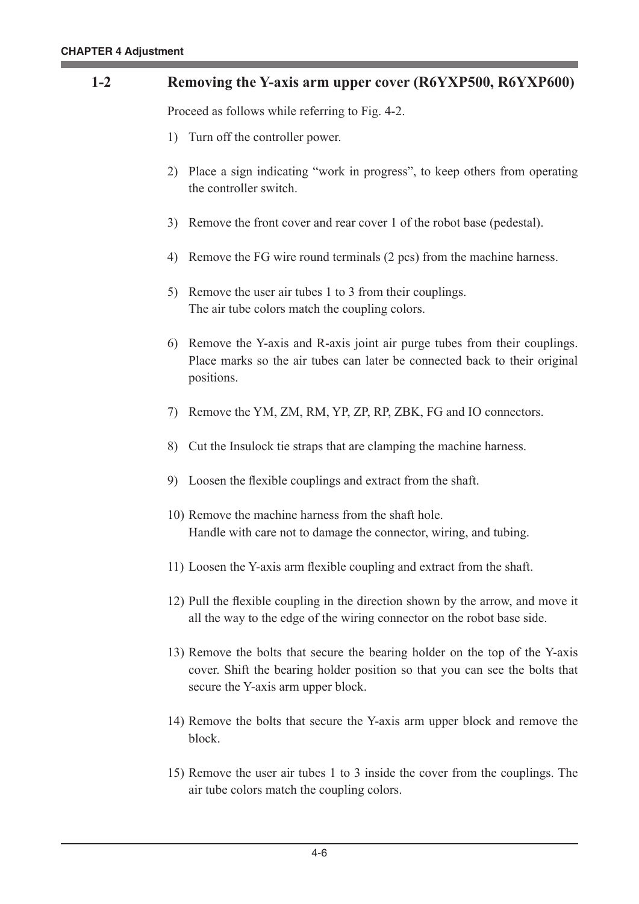#### **1-2 Removing the Y-axis arm upper cover (R6YXP500, R6YXP600)**

Proceed as follows while referring to Fig. 4-2.

- 1) Turn off the controller power.
- 2) Place a sign indicating "work in progress", to keep others from operating the controller switch.
- 3) Remove the front cover and rear cover 1 of the robot base (pedestal).
- 4) Remove the FG wire round terminals (2 pcs) from the machine harness.
- 5) Remove the user air tubes 1 to 3 from their couplings. The air tube colors match the coupling colors.
- 6) Remove the Y-axis and R-axis joint air purge tubes from their couplings. Place marks so the air tubes can later be connected back to their original positions.
- 7) Remove the YM, ZM, RM, YP, ZP, RP, ZBK, FG and IO connectors.
- 8) Cut the Insulock tie straps that are clamping the machine harness.
- 9) Loosen the flexible couplings and extract from the shaft.
- 10) Remove the machine harness from the shaft hole. Handle with care not to damage the connector, wiring, and tubing.
- 11) Loosen the Y-axis arm flexible coupling and extract from the shaft.
- 12) Pull the flexible coupling in the direction shown by the arrow, and move it all the way to the edge of the wiring connector on the robot base side.
- 13) Remove the bolts that secure the bearing holder on the top of the Y-axis cover. Shift the bearing holder position so that you can see the bolts that secure the Y-axis arm upper block.
- 14) Remove the bolts that secure the Y-axis arm upper block and remove the block.
- 15) Remove the user air tubes 1 to 3 inside the cover from the couplings. The air tube colors match the coupling colors.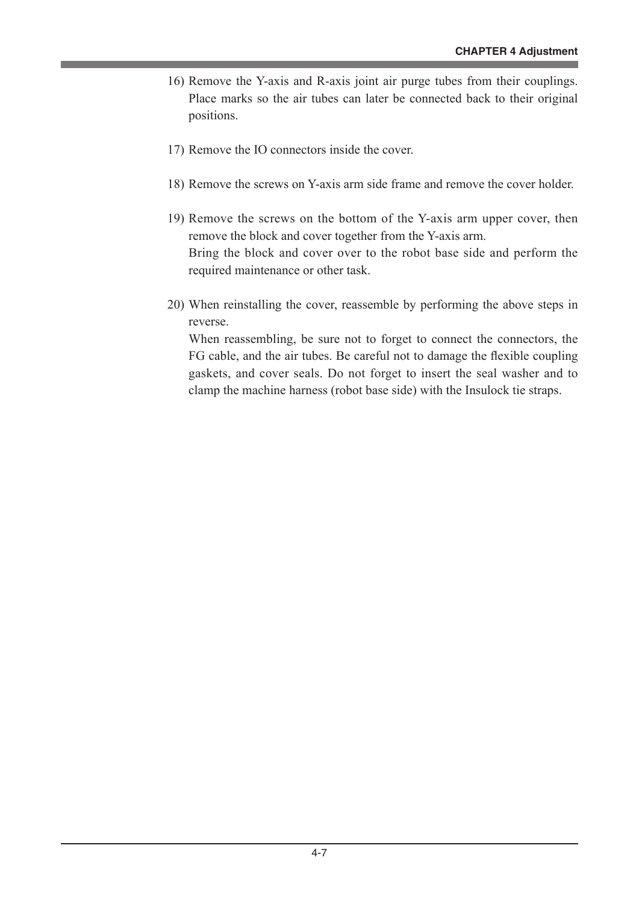- 16) Remove the Y-axis and R-axis joint air purge tubes from their couplings. Place marks so the air tubes can later be connected back to their original positions.
- 17) Remove the IO connectors inside the cover.
- 18) Remove the screws on Y-axis arm side frame and remove the cover holder.
- 19) Remove the screws on the bottom of the Y-axis arm upper cover, then remove the block and cover together from the Y-axis arm. Bring the block and cover over to the robot base side and perform the required maintenance or other task.
- 20) When reinstalling the cover, reassemble by performing the above steps in reverse.

When reassembling, be sure not to forget to connect the connectors, the FG cable, and the air tubes. Be careful not to damage the flexible coupling gaskets, and cover seals. Do not forget to insert the seal washer and to clamp the machine harness (robot base side) with the Insulock tie straps.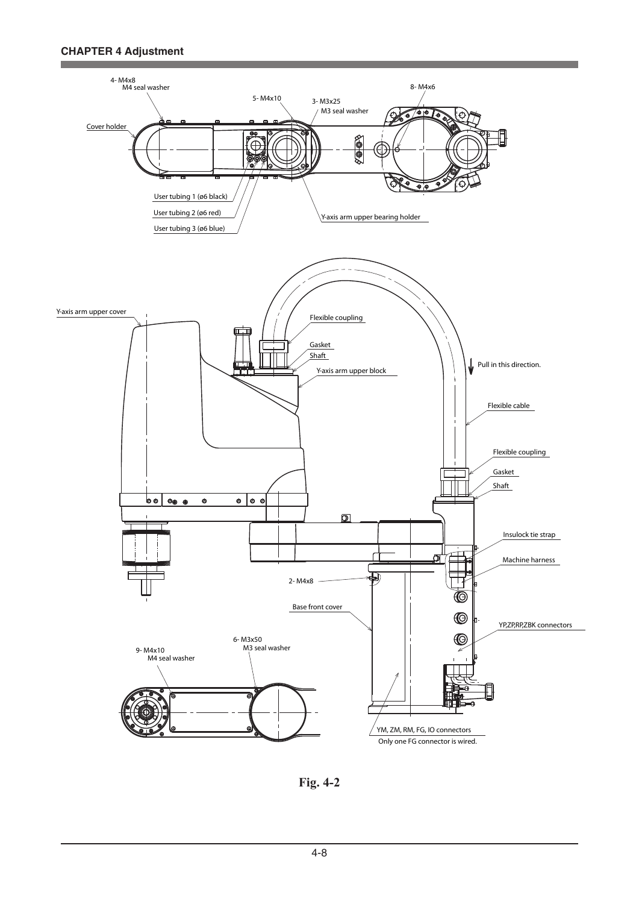

**Fig. 4-2**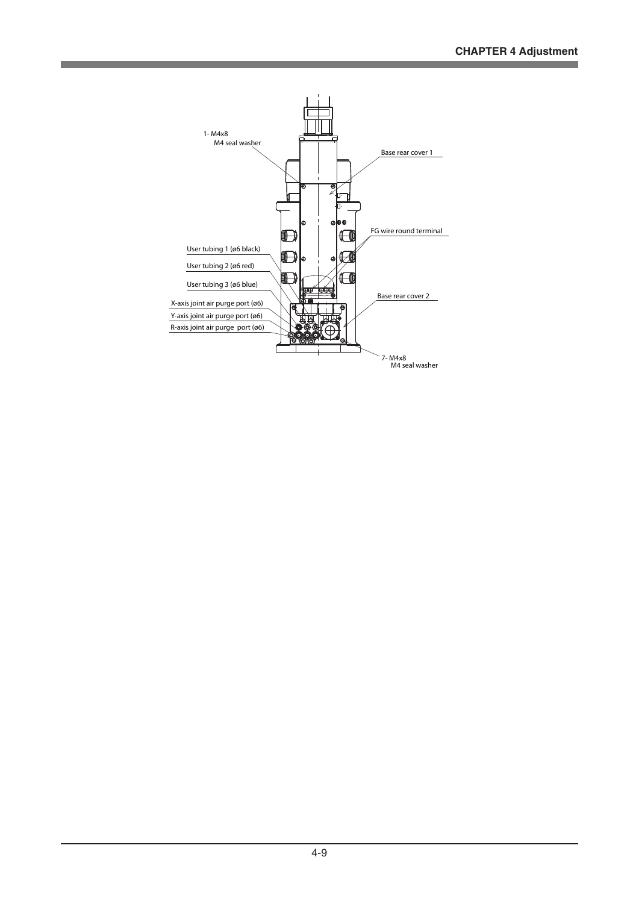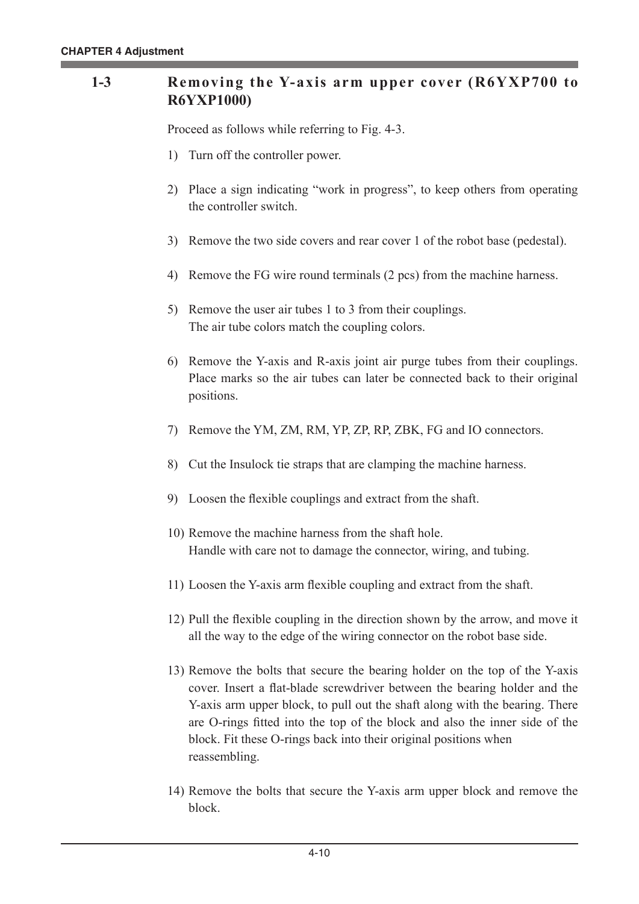## **1-3** Removing the Y-axis arm upper cover (R6YXP700 to **R6YXP1000)**

Proceed as follows while referring to Fig. 4-3.

- 1) Turn off the controller power.
- 2) Place a sign indicating "work in progress", to keep others from operating the controller switch.
- 3) Remove the two side covers and rear cover 1 of the robot base (pedestal).
- 4) Remove the FG wire round terminals (2 pcs) from the machine harness.
- 5) Remove the user air tubes 1 to 3 from their couplings. The air tube colors match the coupling colors.
- 6) Remove the Y-axis and R-axis joint air purge tubes from their couplings. Place marks so the air tubes can later be connected back to their original positions.
- 7) Remove the YM, ZM, RM, YP, ZP, RP, ZBK, FG and IO connectors.
- 8) Cut the Insulock tie straps that are clamping the machine harness.
- 9) Loosen the flexible couplings and extract from the shaft.
- 10) Remove the machine harness from the shaft hole. Handle with care not to damage the connector, wiring, and tubing.
- 11) Loosen the Y-axis arm flexible coupling and extract from the shaft.
- 12) Pull the flexible coupling in the direction shown by the arrow, and move it all the way to the edge of the wiring connector on the robot base side.
- 13) Remove the bolts that secure the bearing holder on the top of the Y-axis cover. Insert a flat-blade screwdriver between the bearing holder and the Y-axis arm upper block, to pull out the shaft along with the bearing. There are O-rings fitted into the top of the block and also the inner side of the block. Fit these O-rings back into their original positions when reassembling.
- 14) Remove the bolts that secure the Y-axis arm upper block and remove the block.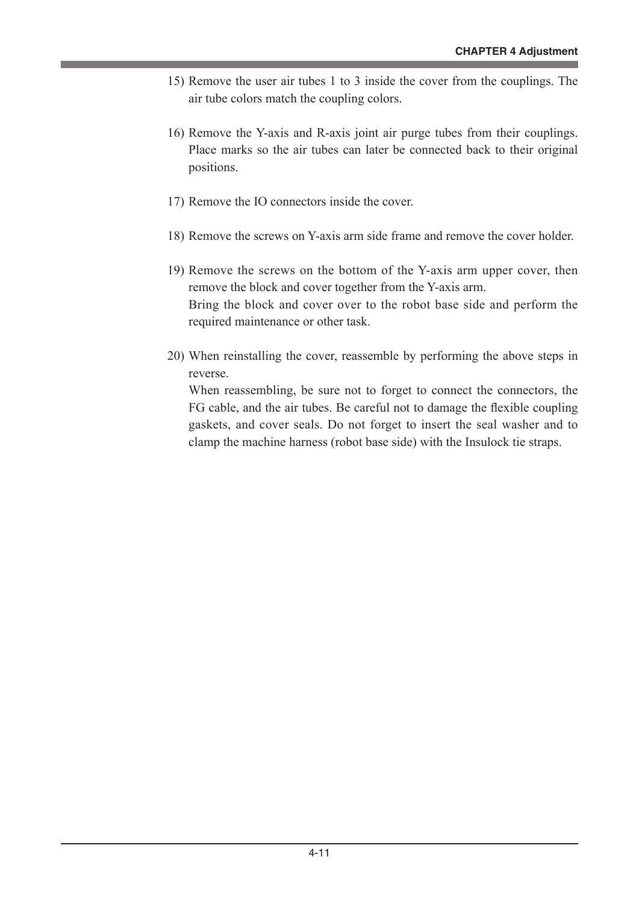- 15) Remove the user air tubes 1 to 3 inside the cover from the couplings. The air tube colors match the coupling colors.
- 16) Remove the Y-axis and R-axis joint air purge tubes from their couplings. Place marks so the air tubes can later be connected back to their original positions.
- 17) Remove the IO connectors inside the cover.
- 18) Remove the screws on Y-axis arm side frame and remove the cover holder.
- 19) Remove the screws on the bottom of the Y-axis arm upper cover, then remove the block and cover together from the Y-axis arm. Bring the block and cover over to the robot base side and perform the required maintenance or other task.
- 20) When reinstalling the cover, reassemble by performing the above steps in reverse.

When reassembling, be sure not to forget to connect the connectors, the FG cable, and the air tubes. Be careful not to damage the flexible coupling gaskets, and cover seals. Do not forget to insert the seal washer and to clamp the machine harness (robot base side) with the Insulock tie straps.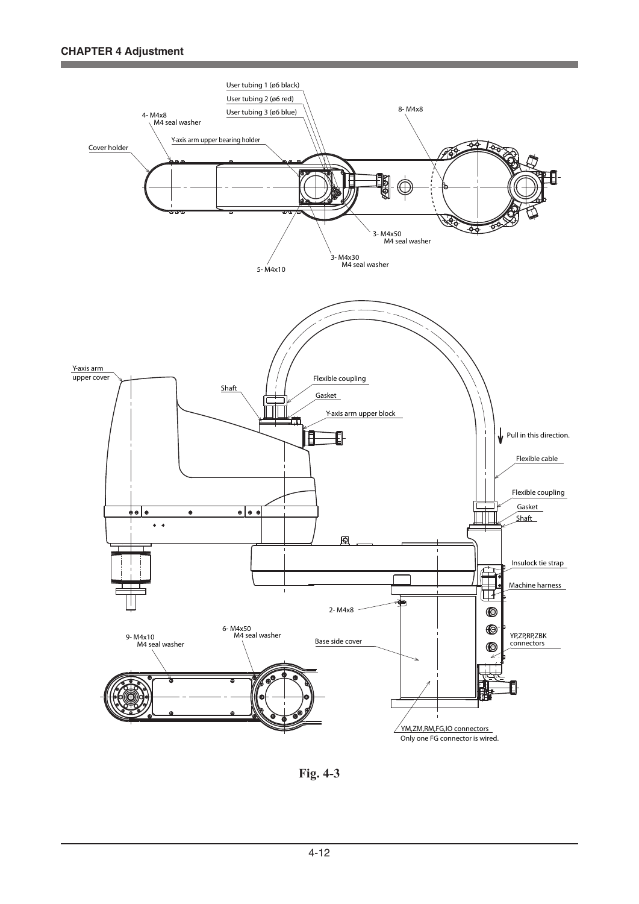

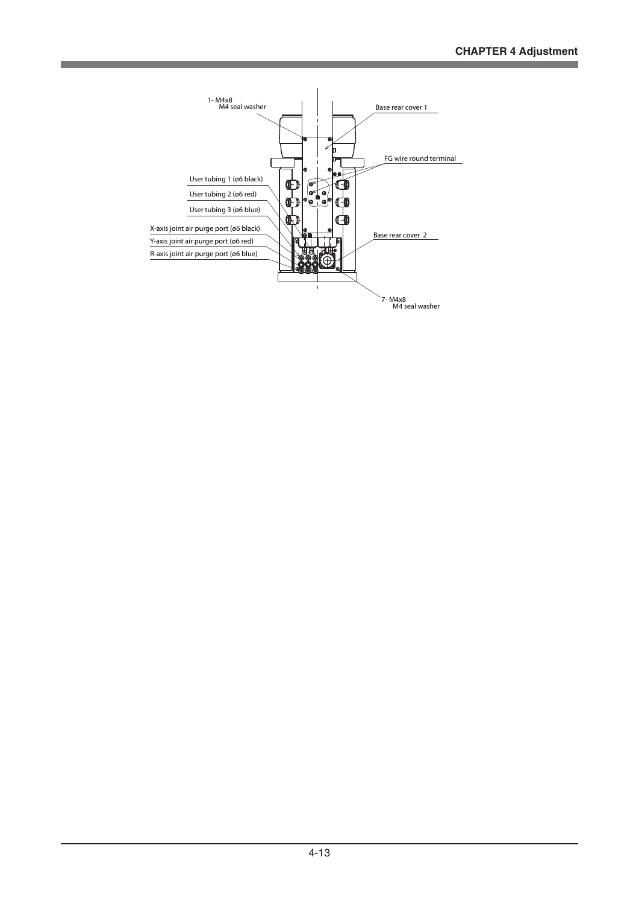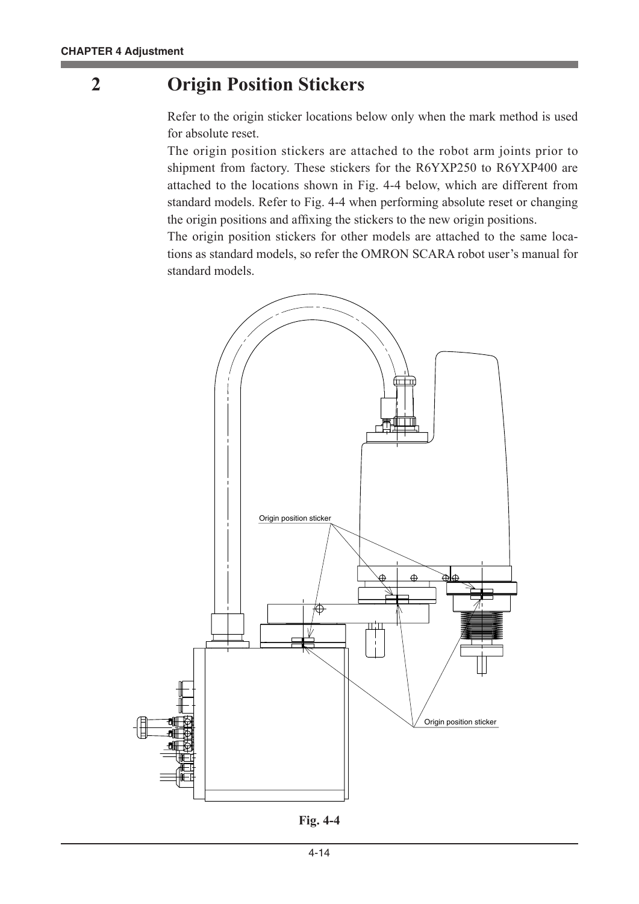## **2 Origin Position Stickers**

Refer to the origin sticker locations below only when the mark method is used for absolute reset.

The origin position stickers are attached to the robot arm joints prior to shipment from factory. These stickers for the R6YXP250 to R6YXP400 are attached to the locations shown in Fig. 4-4 below, which are different from standard models. Refer to Fig. 4-4 when performing absolute reset or changing the origin positions and affixing the stickers to the new origin positions.

The origin position stickers for other models are attached to the same locations as standard models, so refer the OMRON SCARA robot user's manual for standard models.



**Fig. 4-4**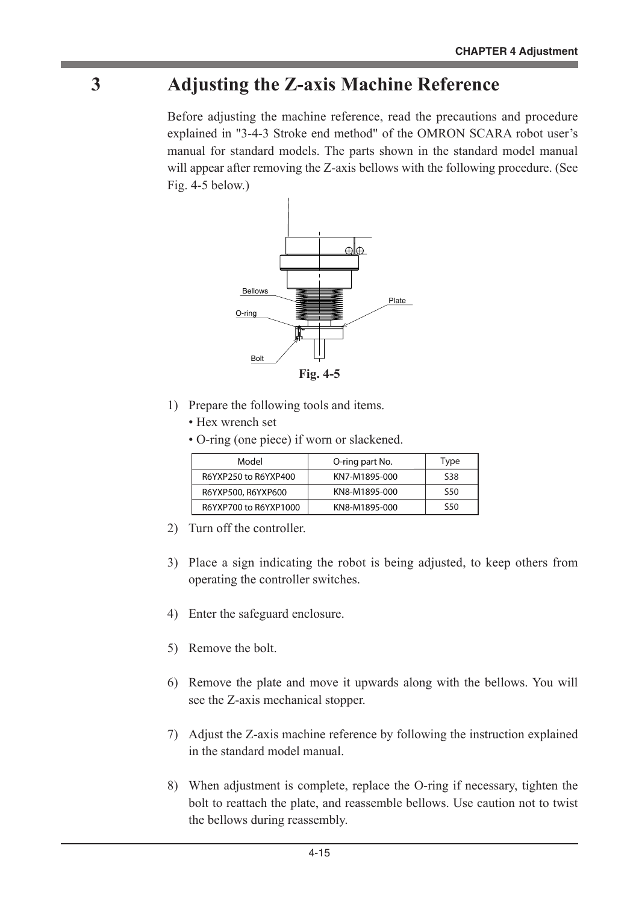# **3 Adjusting the Z-axis Machine Reference**

Before adjusting the machine reference, read the precautions and procedure explained in "3-4-3 Stroke end method" of the OMRON SCARA robot user's manual for standard models. The parts shown in the standard model manual will appear after removing the Z-axis bellows with the following procedure. (See Fig. 4-5 below.)



- 1) Prepare the following tools and items.
	- Hex wrench set
	- O-ring (one piece) if worn or slackened.

| Model                 | O-ring part No. | Type            |
|-----------------------|-----------------|-----------------|
| R6YXP250 to R6YXP400  | KN7-M1895-000   | S <sub>38</sub> |
| R6YXP500, R6YXP600    | KN8-M1895-000   | S <sub>50</sub> |
| R6YXP700 to R6YXP1000 | KN8-M1895-000   | S <sub>50</sub> |

- 2) Turn off the controller.
- 3) Place a sign indicating the robot is being adjusted, to keep others from operating the controller switches.
- 4) Enter the safeguard enclosure.
- 5) Remove the bolt.
- 6) Remove the plate and move it upwards along with the bellows. You will see the Z-axis mechanical stopper.
- 7) Adjust the Z-axis machine reference by following the instruction explained in the standard model manual.
- 8) When adjustment is complete, replace the O-ring if necessary, tighten the bolt to reattach the plate, and reassemble bellows. Use caution not to twist the bellows during reassembly.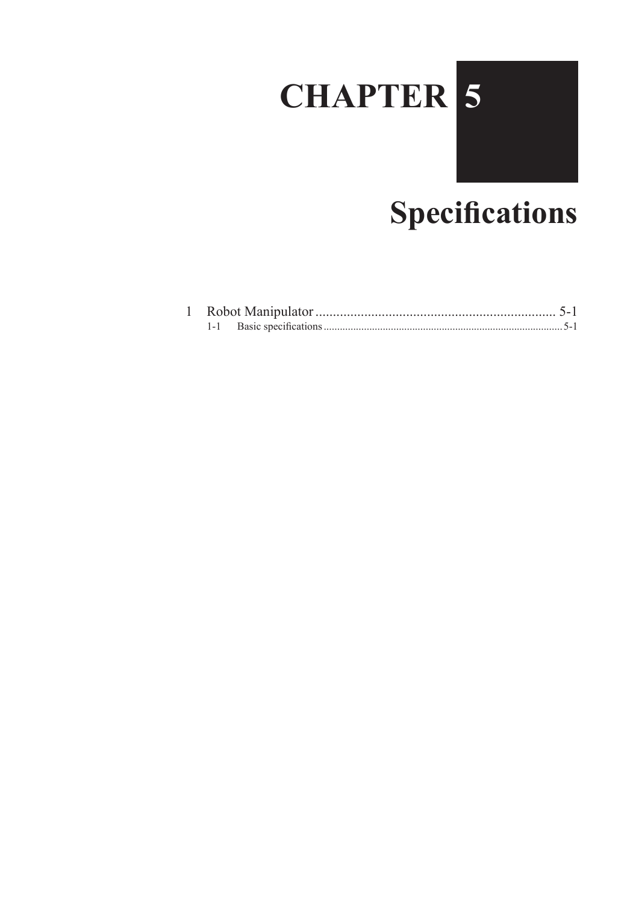# **CHAPTER 5**

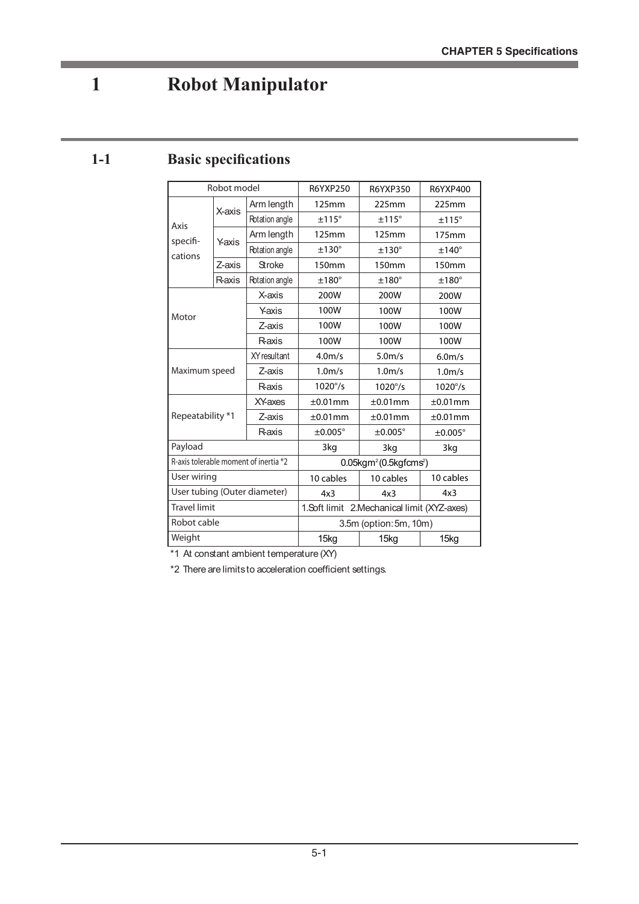# **1 Robot Manipulator**

## **1-1 Basic specifications**

| Robot model                  |        |                                       | R6YXP250                                               | R6YXP350            | R6YXP400            |  |
|------------------------------|--------|---------------------------------------|--------------------------------------------------------|---------------------|---------------------|--|
|                              | X-axis | Arm length                            | 125mm                                                  | 225mm               | 225mm               |  |
| Axis                         |        | Rotation angle                        | ±115°                                                  | ±115°               | ±115°               |  |
| specifi-                     | Yaxis  | Arm length                            | 125mm                                                  | 125mm               | 175mm               |  |
| cations                      |        | Rotation angle                        | $±130^{\circ}$                                         | $±130^\circ$        | $±140^\circ$        |  |
|                              | Z-axis | <b>Stroke</b>                         | 150mm                                                  | 150mm               | 150mm               |  |
|                              | Raxis  | Rotation angle                        | $±180^\circ$                                           | $±180^\circ$        | $±180^\circ$        |  |
|                              |        | X-axis                                | 200W                                                   | 200W                | 200W                |  |
| Motor                        |        | Yaxis                                 | 100W                                                   | 100W                | 100W                |  |
|                              |        | Z-axis                                | 100W                                                   | 100W                | 100W                |  |
|                              |        | Raxis                                 | 100W                                                   | 100W                | 100W                |  |
| Maximum speed                |        | <b>XY</b> resultant                   | 4.0 <sub>m/s</sub>                                     | 5.0 <sub>m/s</sub>  | 6.0 <sub>m/s</sub>  |  |
|                              |        | Z-axis                                | 1.0 <sub>m/s</sub>                                     | 1.0 <sub>m/s</sub>  | 1.0 <sub>m/s</sub>  |  |
|                              |        | Raxis                                 | $1020^{\circ}/s$                                       | $1020^{\circ}/s$    | $1020^{\circ}/s$    |  |
|                              |        | <b>XY-axes</b>                        | ±0.01mm                                                | $±0.01$ mm          | ±0.01mm             |  |
| Repeatability *1             |        | Z-axis                                | ±0.01mm                                                | $\pm 0.01$ mm       | $\pm 0.01$ mm       |  |
|                              |        | Raxis                                 | $\pm 0.005^{\circ}$                                    | $\pm 0.005^{\circ}$ | $\pm 0.005^{\circ}$ |  |
| Payload                      |        |                                       | 3kg                                                    | 3kg                 | 3kg                 |  |
|                              |        | R-axis tolerable moment of inertia *2 | $0.05$ kgm <sup>2</sup> $(0.5$ kgfcms <sup>2</sup> $)$ |                     |                     |  |
| User wiring                  |        | 10 cables                             | 10 cables                                              | 10 cables           |                     |  |
| User tubing (Outer diameter) |        |                                       | 4x3                                                    | 4x3<br>4x3          |                     |  |
| <b>Travel limit</b>          |        |                                       | 1.Soft limit 2.Mechanical limit (XYZ-axes)             |                     |                     |  |
| Robot cable                  |        |                                       | 3.5m (option: 5m, 10m)                                 |                     |                     |  |
| Weight                       |        |                                       | 15 <sub>kg</sub>                                       | 15 <sub>kg</sub>    | 15kg                |  |

\*1 At constant ambient temperature (XY)

\*2 There are limits to acceleration coefficient settings.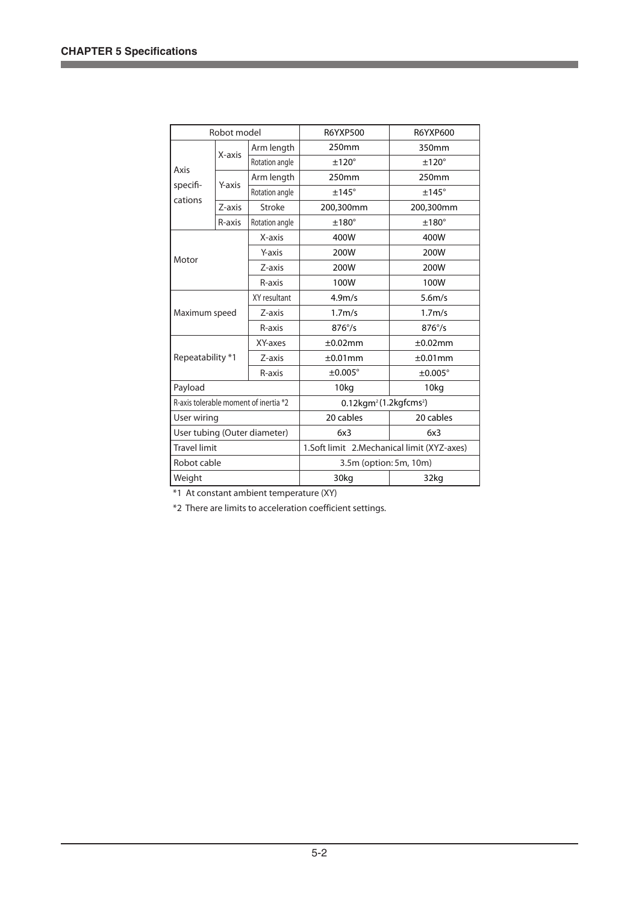Ė

| Robot model                  |               | <b>R6YXP500</b>                       | <b>R6YXP600</b>                                      |                    |  |
|------------------------------|---------------|---------------------------------------|------------------------------------------------------|--------------------|--|
|                              |               | Arm length                            | 250mm                                                | 350mm              |  |
|                              | X-axis        | Rotation angle                        | $±120^\circ$                                         | $±120^\circ$       |  |
| Axis                         |               | Arm length                            | 250mm                                                | 250mm              |  |
| specifi-                     | Y-axis        | Rotation angle                        | $±145^\circ$                                         | $±145^\circ$       |  |
| cations                      | Z-axis        | Stroke                                | 200,300mm                                            | 200,300mm          |  |
|                              | R-axis        | Rotation angle                        | $±180^\circ$                                         | $±180^\circ$       |  |
|                              |               | X-axis                                | 400W                                                 | 400W               |  |
|                              |               | Y-axis                                | 200W                                                 | 200W               |  |
|                              | Motor         |                                       | 200W                                                 | 200W               |  |
|                              |               |                                       | 100W                                                 | 100W               |  |
|                              |               | XY resultant                          | 4.9 <sub>m/s</sub>                                   | 5.6 <sub>m/s</sub> |  |
|                              | Maximum speed |                                       | 1.7 <sub>m/s</sub>                                   | 1.7 <sub>m/s</sub> |  |
|                              |               | R-axis                                | $876^{\circ}/s$                                      | $876^{\circ}/s$    |  |
|                              |               | XY-axes                               | ±0.02mm                                              | ±0.02mm            |  |
| Repeatability *1             |               | Z-axis                                | $±0.01$ mm                                           | ±0.01mm            |  |
|                              |               | R-axis                                | $\pm 0.005^\circ$                                    | ±0.005°            |  |
| Payload                      |               |                                       | 10kg                                                 | 10kg               |  |
|                              |               | R-axis tolerable moment of inertia *2 | $0.12$ kgm <sup>2</sup> $(1.2$ kgfcms <sup>2</sup> ) |                    |  |
|                              | User wiring   |                                       | 20 cables                                            | 20 cables          |  |
| User tubing (Outer diameter) |               |                                       | 6x3                                                  | 6x3                |  |
| <b>Travel limit</b>          |               |                                       | 1.Soft limit 2.Mechanical limit (XYZ-axes)           |                    |  |
| Robot cable                  |               |                                       | 3.5m (option: 5m, 10m)                               |                    |  |
| Weight                       |               |                                       | 30kg                                                 | 32kg               |  |

\*1 At constant ambient temperature (XY)

\*2 There are limits to acceleration coefficient settings.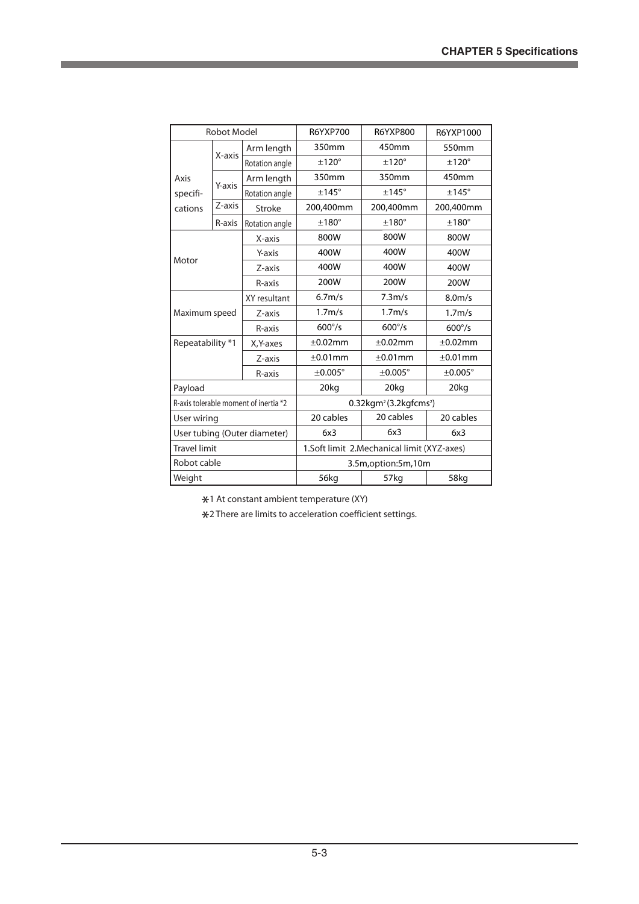۳

| <b>Robot Model</b>                    |                      |                | <b>R6YXP700</b>                                   | <b>R6YXP800</b>     | R6YXP1000          |
|---------------------------------------|----------------------|----------------|---------------------------------------------------|---------------------|--------------------|
|                                       | X-axis               | Arm length     | 350mm                                             | 450mm               | 550mm              |
|                                       |                      | Rotation angle | $±120^{\circ}$                                    | $±120^\circ$        | $±120^\circ$       |
| Axis                                  |                      | Arm length     | 350mm                                             | 350mm               | 450mm              |
| specifi-                              | Y-axis               | Rotation angle | $±145^\circ$                                      | $±145^\circ$        | $±145^\circ$       |
| cations                               | $\overline{z}$ -axis | Stroke         | 200,400mm                                         | 200,400mm           | 200,400mm          |
|                                       | R-axis               | Rotation angle | $±180^\circ$                                      | $±180^\circ$        | $±180^\circ$       |
|                                       | X-axis               |                | 800W                                              | 800W                | 800W               |
| Motor                                 |                      | Y-axis         | 400W                                              | 400W                | 400W               |
|                                       |                      | Z-axis         | 400W                                              | 400W                | 400W               |
|                                       |                      | R-axis         | 200W                                              | 200W                | 200W               |
| Maximum speed                         |                      | XY resultant   | 6.7 <sub>m/s</sub>                                | 7.3 <sub>m/s</sub>  | 8.0 <sub>m/s</sub> |
|                                       |                      | Z-axis         | 1.7 <sub>m/s</sub>                                | 1.7 <sub>m/s</sub>  | 1.7 <sub>m/s</sub> |
|                                       |                      | R-axis         | $600^{\circ}/s$                                   | $600^{\circ}/s$     | $600^{\circ}/s$    |
| Repeatability *1                      |                      | X, Y-axes      | $\pm 0.02$ mm                                     | $\pm 0.02$ mm       | ±0.02mm            |
|                                       |                      | Z-axis         | $±0.01$ mm                                        | ±0.01mm             | ±0.01mm            |
|                                       |                      | R-axis         | $\pm 0.005^\circ$                                 | $\pm 0.005^{\circ}$ | $\pm 0.005^\circ$  |
| Payload                               |                      |                | 20kg                                              | 20kg                | 20kg               |
| R-axis tolerable moment of inertia *2 |                      |                | $0.32$ kgm <sup>2</sup> (3.2kgfcms <sup>2</sup> ) |                     |                    |
| User wiring                           |                      |                | 20 cables                                         | 20 cables           | 20 cables          |
| User tubing (Outer diameter)          |                      |                | 6x3                                               | 6x3                 | 6x3                |
| <b>Travel limit</b>                   |                      |                | 1.Soft limit 2.Mechanical limit (XYZ-axes)        |                     |                    |
| Robot cable                           |                      |                | 3.5m, option: 5m, 10m                             |                     |                    |
| Weight                                |                      |                | 56kg                                              | 57kg                | 58kg               |

\*1 At constant ambient temperature (XY)

\*2 There are limits to acceleration coefficient settings.